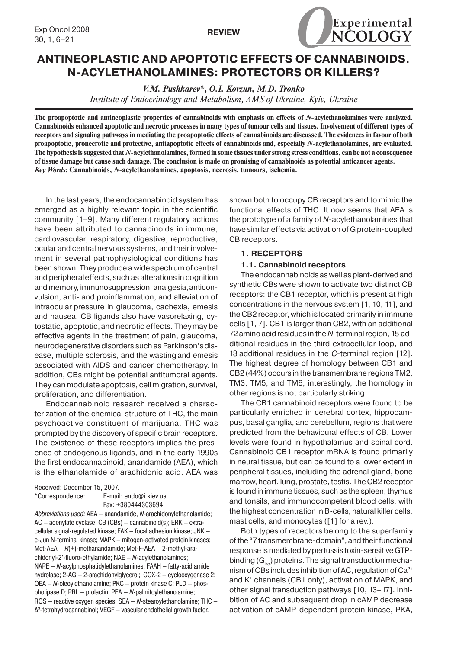



# **ANTINEOPLASTIC AND APOPTOTIC EFFECTS OF CANNABINOIDS. N-ACYLETHANOLAMINES: PROTECTORS OR KILLERS?**

*V.M. Pushkarev\*, O.I. Kovzun, M.D. Тronkо Institute of Endocrinology and Metabolism, AMS of Ukraine, Kyiv, Ukraine*

**The proapoptotic and antineoplastic properties of cannabinoids with emphasis on effects of** *N***-acylethanolamines were analyzed. Cannabinoids enhanced apoptotic and necrotic processes in many types of tumour cells and tissues. Involvement of different types of receptors and signaling pathways in mediating the proapoptotic effects of cannabinoids are discussed. The evidences in favour of both proapoptotic, pronecrotic and protective, antiapoptotic effects of cannabinoids and, especially** *N***-acylethanolamines, are evaluated. The hypothesis is suggested that** *N***-acylethanolamines, formed in some tissues under strong stress conditions, can be not a consequence of tissue damage but cause such damage. The conclusion is made on promising of cannabinoids as potential anticancer agents.** *Key Words:* **Cannabinoids,** *N***-acylethanolamines, apoptosis, necrosis, tumours, ischemia.**

In the last years, the endocannabinoid system has emerged as a highly relevant topic in the scientific community [1–9]. Many different regulatory actions have been attributed to cannabinoids in immune, cardiovascular, respiratory, digestive, reproductive, ocular and central nervous systems, and their involvement in several pathophysiological conditions has been shown. They produce a wide spectrum of central and peripheraleffects, such as alterations in cognition and memory, immunosuppression, analgesia,anticonvulsion, anti- and proinflammation, and alleviation of intraocular pressure in glaucoma, cachexia, emesis and nausea. CB ligands also have vasorelaxing, cytostatic, apoptotic,and necrotic effects. Theymay be effective agents in the treatment of pain, glaucoma, neurodegenerative disorders such as Parkinson'sdisease, multiple sclerosis, and the wasting and emesis associated with AIDS and cancer chemotherapy. In addition, CBs might be potential antitumoral agents. They can modulate apoptosis, cell migration, survival, proliferation, and differentiation.

Endocannabinoid research received a characterization of the chemical structure of THC, the main psychoactive constituent of marijuana. THC was prompted by the discovery of specific brain receptors. The existence of these receptors implies the presence of endogenous ligands, and in the early 1990s the first endocannabinoid, anandamide (AEA), which is the ethanolamide of arachidonic acid. AEA was

Received: December 15, 2007. \*Correspondence: E-mail: endo@i.kiev.ua

Fax: +380444303694

*Abbreviations used:* AEA – anandamide, *N-*arachidonylethanolamide; AC – adenylate cyclase; CB (CBs) – cannabinoid(s); ERK – extracellular signal-regulated kinase; FAK – focal adhesion kinase; JNK – c-Jun N-terminal kinase; MAPK – mitogen-activated protein kinases; Met-AEA – *R*(+)-methanandamide; Met-F-AEA – 2-methyl-arachidonyl-2'-fluoro-ethylamide; NAE – *N*-acylethanolamines; NAPE – *N*-acylphosphatidylethanolamines; FAAH – fatty-acid amide hydrolase; 2-AG – 2-arachidonylglycerol; COX-2 – cyclooxygenase 2; OEA – *N*-oleoylethanolamine; PKC – protein kinase C; PLD – phospholipase D; PRL – prolactin; PEA — *N*-palmitoylethanolamine; ROS – reactive oxygen species; SEA – *N*-stearoylethanolamine; THC – Δ9 -tetrahydrocannabinol; VEGF – vascular endothelial growth factor.

shown both to occupy CB receptors and to mimic the functional effects of THC. It now seems that AEA is the prototype of a family of *N*-acylethanolamines that have similar effects via activation of G protein-coupled CB receptors.

# **1. RECEPTORS**

#### **1.1. Cannabinoid receptors**

The endocannabinoids as well as plant-derived and synthetic CBs were shown to activate two distinct CB receptors: the CB1 receptor, which is present at high concentrations in the nervous system [1, 10, 11], and the CB2 receptor, which is located primarily in immune cells [1, 7]. CB1 is larger than CB2, with an additional 72 amino acid residues in the *N*-terminal region, 15 additional residues in the third extracellular loop, and 13 additional residues in the *C*-terminal region [12]. The highest degree of homology between CB1 and CB2 (44%) occurs in the transmembrane regions TM2, TM3, TM5, and TM6; interestingly, the homology in other regions is not particularly striking.

The CB1 cannabinoid receptors were found to be particularly enriched in cerebral cortex, hippocampus, basal ganglia, and cerebellum, regions that were predicted from the behavioural effects of CB. Lower levels were found in hypothalamus and spinal cord. Cannabinoid CB1 receptor mRNA is found primarily in neural tissue, but can be found to a lower extent in peripheral tissues, including the adrenal gland, bone marrow, heart, lung, prostate, testis. The CB2 receptor is found in immune tissues, such as the spleen, thymus and tonsils, and immunocompetent blood cells, with the highest concentration in B-cells, natural killer cells, mast cells, and monocytes ([1] for a rev.).

Both types of receptors belong to the superfamily of the "7 transmembrane-domain", and their functional response is mediated by pertussis toxin-sensitive GTPbinding  $(G_{i_0})$  proteins. The signal transduction mechanism of CBs includes inhibition of AC, regulation of  $Ca<sup>2+</sup>$ and K<sup>+</sup> channels (CB1 only), activation of MAPK, and other signal transduction pathways [10, 13–17]. Inhibition of AC and subsequent drop in cAMP decrease activation of cAMP-dependent protein kinase, PKA,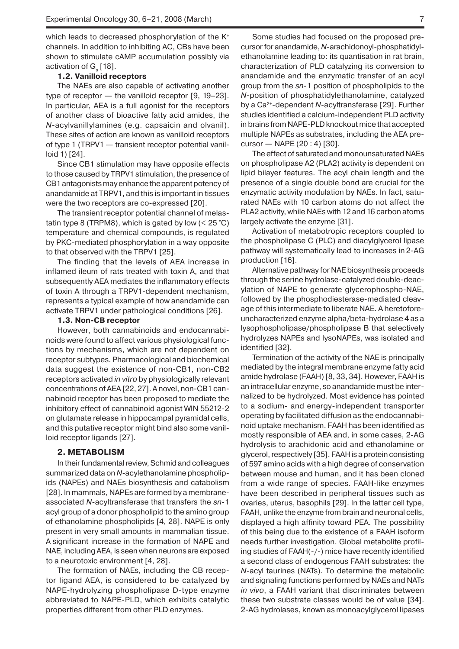which leads to decreased phosphorylation of the  $K^+$ channels. In addition to inhibiting AC, CBs have been shown to stimulate cAMP accumulation possibly via activation of  $\mathsf{G}_{_\mathrm{s}}$  [18].

# **1.2. Vanilloid receptors**

The NAEs are also capable of activating another type of receptor — the vanilloid receptor [9, 19–23]. In particular, AEA is a full agonist for the receptors of another class of bioactive fatty acid amides, the *N*-acylvanillylamines (e.g. capsaicin and olvanil). These sites of action are known as vanilloid receptors of type 1 (TRPV1 — transient receptor potential vanilloid 1) [24].

Since CB1 stimulation may have opposite effects to those caused by TRPV1 stimulation, the presence of CB1 antagonists may enhance the apparent potency of anandamide at TRPV1, and this is important in tissues were the two receptors are co-expressed [20].

The transient receptor potential channel of melastatin type 8 (TRPM8), which is gated by low  $(< 25 °C)$ temperature and chemical compounds, is regulated by PKC-mediated phosphorylation in a way opposite to that observed with the TRPV1 [25].

The finding that the levels of AEA increase in inflamed ileum of rats treated with toxin A, and that subsequently AEA mediates the inflammatory effects of toxin A through a TRPV1-dependent mechanism, represents a typical example of how anandamide can activate TRPV1 under pathological conditions [26].

#### **1.3. Non-CB receptor**

However, both cannabinoids and endocannabinoids were found to affect various physiological functions by mechanisms, which are not dependent on receptor subtypes. Pharmacological and biochemical data suggest the existence of non-CB1, non-CB2 receptors activated *in vitro* by physiologically relevant concentrations of AEA [22, 27]. A novel, non-CB1 cannabinoid receptor has been proposed to mediate the inhibitory effect of cannabinoid agonist WIN 55212-2 on glutamate release in hippocampal pyramidal cells, and this putative receptor might bind also some vanilloid receptor ligands [27].

### **2. METABOLISM**

In their fundamental review, Schmid and colleagues summarized data on *N*-acylethanolamine phospholipids (NAPEs) and NAEs biosynthesis and catabolism [28]. In mammals, NAPEs are formed by a membraneassociated *N*-acyltransferase that transfers the *sn*-1 acyl group of a donor phospholipid to the amino group of ethanolamine phospholipids [4, 28]. NAPE is only present in very small amounts in mammalian tissue. A significant increase in the formation of NAPE and NAE, including AEA, is seen when neurons are exposed to a neurotoxic environment [4, 28].

The formation of NAEs, including the CB receptor ligand AEA, is considered to be catalyzed by NAPE-hydrolyzing phospholipase D-type enzyme abbreviated to NAPE-PLD, which exhibits catalytic properties different from other PLD enzymes.

Some studies had focused on the proposed precursor for anandamide, *N*-arachidonoyl-phosphatidylethanolamine leading to: its quantisation in rat brain, characterization of PLD catalyzing its conversion to anandamide and the enzymatic transfer of an acyl group from the *sn*-1 position of phospholipids to the *N*-position of phosphatidylethanolamine, catalyzed by a Ca2+-dependent *N*-acyltransferase [29]. Further studies identified a calcium-independent PLD activity in brains from NAPE-PLD knockout mice that accepted multiple NAPEs as substrates, including the AEA precursor — NAPE (20 : 4) [30].

The effect of saturated and monounsaturated NAEs on phospholipase A2 (PLA2) activity is dependent on lipid bilayer features. The acyl chain length and the presence of a single double bond are crucial for the enzymatic activity modulation by NAEs. In fact, saturated NAEs with 10 carbon atoms do not affect the PLA2 activity, while NAEs with 12 and 16 carbon atoms largely activate the enzyme [31].

Activation of metabotropic receptors coupled to the phospholipase C (PLC) and diacylglycerol lipase pathway will systematically lead to increases in 2-AG production [16].

Alternative pathway for NAE biosynthesis proceeds through the serine hydrolase-catalyzed double-deacylation of NAPE to generate glycerophospho-NAE, followed by the phosphodiesterase-mediated cleavage of this intermediate to liberate NAE. A heretoforeuncharacterized enzyme alpha/beta-hydrolase 4 as a lysophospholipase/phospholipase B that selectively hydrolyzes NAPEs and lysoNAPEs, was isolated and identified [32].

Termination of the activity of the NAE is principally mediated by the integral membrane enzyme fatty acid amide hydrolase (FAAH) [8, 33, 34]. However, FAAH is an intracellular enzyme, so anandamide must be internalized to be hydrolyzed. Most evidence has pointed to a sodium- and energy-independent transporter operating by facilitated diffusion as the endocannabinoid uptake mechanism. FAAH has been identified as mostly responsible of AEA and, in some cases, 2-AG hydrolysis to arachidonic acid and ethanolamine or glycerol, respectively [35]. FAAH is a protein consisting of 597 amino acids with a high degree of conservation between mouse and human, and it has been cloned from a wide range of species. FAAH-like enzymes have been described in peripheral tissues such as ovaries, uterus, basophils [29]. In the latter cell type, FAAH, unlike the enzyme from brain and neuronal cells, displayed a high affinity toward PEA. The possibility of this being due to the existence of a FAAH isoform needs further investigation. Global metabolite profiling studies of FAAH(-/-) mice have recently identified a second class of endogenous FAAH substrates: the *N*-acyl taurines (NATs). To determine the metabolic and signaling functions performed by NAEs and NATs *in vivo*, a FAAH variant that discriminates between these two substrate classes would be of value [34]. 2-AG hydrolases, known as monoacylglycerol lipases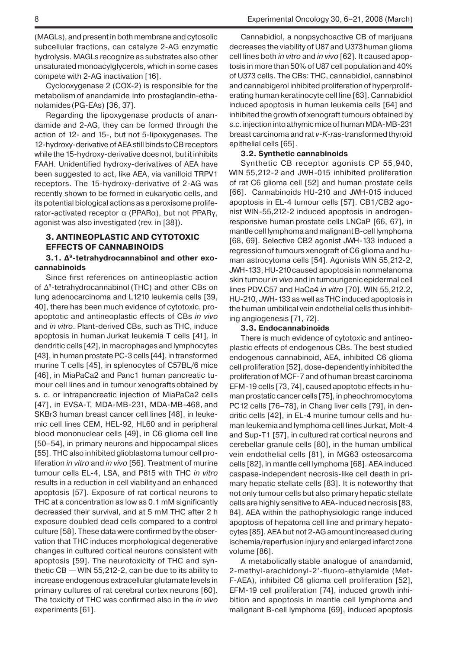(MAGLs), and present in both membrane and cytosolic subcellular fractions, can catalyze 2-AG enzymatic hydrolysis. MAGLs recognize as substrates also other unsaturated monoacylglycerols, which in some cases compete with 2-AG inactivation [16].

Cyclooxygenase 2 (COX-2) is responsible for the metabolism of anandamide into prostaglandin-ethanolamides (PG-EAs) [36, 37].

Regarding the lipoxygenase products of anandamide and 2-AG, they can be formed through the action of 12- and 15-, but not 5-lipoxygenases. The 12-hydroxy-derivative of AEA still binds to CB receptors while the 15-hydroxy-derivative does not, but it inhibits FAAH. Unidentified hydroxy-derivatives of AEA have been suggested to act, like AEA, via vanilloid TRPV1 receptors. The 15-hydroxy-derivative of 2-AG was recently shown to be formed in eukaryotic cells, and its potential biological actions as a peroxisome proliferator-activated receptor α (PPARα), but not PPARγ, agonist was also investigated (rev. in [38]).

# **3. ANTINEOPLASTIC AND CYTOTOXIC EFFECTS OF CANNABINOIDS**

# **3.1. Δ9-tetrahydrocannabinol and other exocannabinoids**

Since first references on antineoplastic action of Δ9-tetrahydrocannabinol (THC) and other CBs on lung adenocarcinoma and L1210 leukemia cells [39, 40], there has been much evidence of cytotoxic, proapoptotic and antineoplastic effects of CBs *in vivo* and *in vitro*. Plant-derived CBs, such as THC, induce apoptosis in human Jurkat leukemia T cells [41], in dendritic cells [42], in macrophages and lymphocytes [43], in human prostate PC-3 cells [44], in transformed murine T cells [45], in splenocytes of C57BL/6 mice [46], in MiaPaCa2 and Panc1 human pancreatic tumour cell lines and in tumour xenografts obtained by s. c. or intrapancreatic injection of MiaPaCa2 cells [47], in EVSA-T, MDA-MB-231, MDA-MB-468, and SKBr3 human breast cancer cell lines [48], in leukemic cell lines CEM, HEL-92, HL60 and in peripheral blood mononuclear cells [49], in C6 glioma cell line [50–54], in primary neurons and hippocampal slices [55]. THC also inhibited glioblastoma tumour cell proliferation *in vitro* and *in vivo* [56]. Treatment of murine tumour cells EL-4, LSA, and P815 with THC *in vitro* results in a reduction in cell viabilityand an enhanced apoptosis [57]. Exposure of rat cortical neurons to THC at a concentration as low as 0.1 mM significantly decreased their survival, and at 5 mM THC after 2 h exposure doubled dead cells compared to a control culture [58]. These data were confirmed by the observation that THC induces morphological degenerative changes in cultured cortical neurons consistent with apoptosis [59]. The neurotoxicity of THC and synthetic CB — WIN 55,212-2, can be due to its ability to increase endogenous extracellular glutamate levels in primary cultures of rat cerebral cortex neurons [60]. The toxicity of THC was confirmed also in the *in vivo* experiments [61].

Cannabidiol, a nonpsychoactive CB of marijuana decreases the viability of U87 and U373human glioma cell lines both *in vitro* and *in vivo* [62]. It caused apoptosis in more than 50% of U87 cell population and 40% of U373 cells. The CBs: THC, cannabidiol, cannabinol and cannabigerol inhibited proliferation of hyperproliferating human keratinocyte cell line [63]. Cannabidiol induced apoptosis in human leukemia cells [64] and inhibited the growth of xenograft tumours obtained by s.c. injection into athymic mice of human MDA-MB-231 breast carcinoma and rat *v-K-ras*-transformed thyroid epithelial cells [65].

# **3.2. Synthetic cannabinoids**

Synthetic CB receptor agonists CP 55,940, WIN 55,212-2 and JWH-015 inhibited proliferation of rat C6 glioma cell [52] and human prostate cells [66]. Cannabinoids HU-210 and JWH-015 induced apoptosis in EL-4 tumour cells [57]. CB1/CB2 agonist WIN-55,212-2 induced apoptosis in androgenresponsive human prostate cells LNCaP [66, 67], in mantle cell lymphoma and malignant B-cell lymphoma [68, 69]. Selective CB2 agonist JWH-133 induced a regressionof tumours xenograft of C6 glioma and human astrocytoma cells [54]. Agonists WIN 55,212-2, JWH-133, HU-210caused apoptosis in nonmelanoma skin tumour *in vivo* and in tumourigenicepidermal cell lines PDV.C57 and HaCa4 *in vitro* [70]. WIN 55,212.2, HU-210, JWH-133 as well as THC induced apoptosis in the human umbilical vein endothelial cells thus inhibiting angiogenesis [71, 72].

## **3.3. Endocannabinoids**

There is much evidence of cytotoxic and antineoplastic effects of endogenous CBs. The best studied endogenous cannabinoid, AEA, inhibited C6 glioma cell proliferation [52], dose-dependently inhibited the proliferation of MCF-7 and of human breast carcinoma EFM-19 cells [73, 74], caused apoptotic effects in human prostatic cancer cells [75], in pheochromocytoma PC12 cells [76–78], in Chang liver cells [79], in dendritic cells [42], in EL-4 murine tumour cells and human leukemiaand lymphoma cell lines Jurkat, Molt-4 and Sup-T1 [57], in cultured rat cortical neurons and cerebellar granule cells [80], in the human umbilical vein endothelial cells [81], in MG63 osteosarcoma cells [82], in mantle cell lymphoma [68]. AEA induced caspase-independent necrosis-like cell death in primary hepatic stellate cells [83]. It is noteworthy that not only tumour cells but also primary hepatic stellate cells are highly sensitive to AEA-induced necrosis [83, 84]. AEA within the pathophysiologic range induced apoptosis of hepatoma cell line and primary hepatocytes [85]. AEA but not 2-AG amount increased during ischemia/reperfusion injury and enlarged infarct zone volume [86].

A metabolically stable analogue of anandamid, 2-methyl-arachidonyl-2'-fluoro-ethylamide (Met-F-AEA), inhibited C6 glioma cell proliferation [52], EFM-19 cell proliferation [74], induced growth inhibition and apoptosis in mantle cell lymphoma and malignant B-cell lymphoma [69], induced apoptosis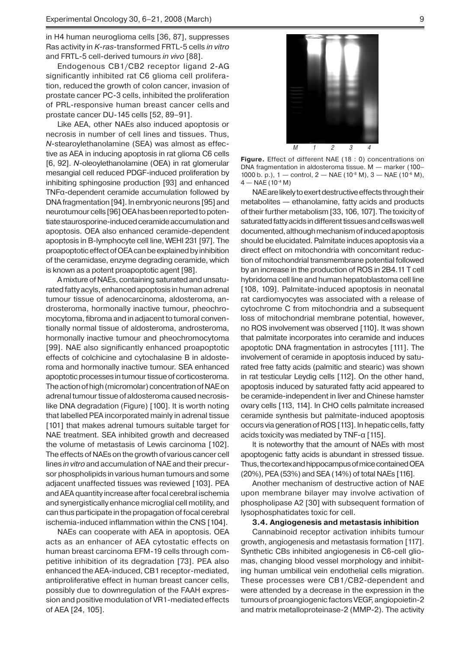in H4 human neuroglioma cells [36, 87], suppresses Ras activity in *K-ras*-transformed FRTL-5 cells *in vitro* and FRTL-5 cell-derived tumours *in vivo* [88].

Endogenous CB1/CB2 receptor ligand 2-AG significantly inhibited rat C6 glioma cell proliferation, reduced the growth of colon cancer, invasion of prostate cancer PC-3 cells, inhibited the proliferation of PRL-responsive human breast cancer cells and prostate cancer DU-145 cells [52, 89–91].

Like AEA, other NAEs also induced apoptosis or necrosis in number of cell lines and tissues. Thus, *N*-stearoylethanolamine (SEA) was almost as effective as AEA in inducing apoptosis in rat glioma C6 cells [6, 92]. *N*-oleoylethanolamine (OEA) in rat glomerular mesangial cell reduced PDGF-induced proliferation by inhibiting sphingosine production [93] and enhanced TNFα-dependent ceramide accumulation followed by DNA fragmentation [94]. In embryonic neurons [95] and neurotumour cells [96] OEA has been reported to potentiate staurosporine-induced ceramide accumulation and apoptosis. OEA also enhanced ceramide-dependent apoptosis in B-lymphocyte cell line, WEHI 231 [97]. The proapoptotic effect of OEA can be explained by inhibition of the ceramidase, enzyme degrading ceramide, which is known as a potent proapoptotic agent [98].

A mixture of NAEs, containing saturated and unsaturated fatty acyls, enhanced apoptosis in human adrenal tumour tissue of adenocarcinoma, aldosteroma, androsteroma, hormonally inactive tumour, pheochromocytoma, fibroma and in adjacent to tumoral conventionally normal tissue of aldosteroma, androsteroma, hormonally inactive tumour and pheochromocytoma [99]. NAE also significantly enhanced proapoptotic effects of colchicine and cytochalasine B in aldosteroma and hormonally inactive tumour. SEA enhanced apoptotic processes in tumour tissue of corticosteroma. The action of high (micromolar) concentration of NAE оn adrenal tumour tissue of aldosteroma caused necrosislike DNA degradation (Figure) [100]. It is worth noting that labelled PEA incorporated mainly in adrenal tissue [101] that makes adrenal tumours suitable target for NAE treatment. SEA inhibited growth and decreased the volume of metastasis of Lewis carcinoma [102]. The effects of NAEs on the growth of various cancer cell lines *in vitro* and accumulation of NAE and their precursor phospholipids in various human tumours and some adjacent unaffected tissues was reviewed [103]. PEA and AEA quantity increase after focal cerebral ischemia and synergistically enhance microglial cell motility, and can thus participate in the propagation of focal cerebral ischemia-induced inflammation within the CNS [104].

NAEs can cooperate with AEA in apoptosis. OEA acts as an enhancer of AEA cytostatic effects on human breast carcinoma EFM-19 cells through competitive inhibition of its degradation [73]. PEA also enhanced the AEA-induced, CB1 receptor-mediated, antiproliferative effect in human breast cancer cells, possibly due to downregulation of the FAAH expression and positive modulation of VR1-mediated effects of AEA [24, 105].



**Figure.** Effect of different NAE (18 : 0) concentrations on DNA fragmentation in aldosteroma tissue. M — marker (100– 1000 b. p.),  $1 -$  control,  $2 -$  NAE ( $10^{-8}$  M),  $3 -$  NAE ( $10^{-6}$  M),  $4 - NAE(10^{-4} M)$ 

NAE are likely to exert destructive effects through their metabolites — ethanolamine, fatty acids and products of their further metabolism [33, 106, 107]. The toxicity of saturated fatty acids in different tissues and cells was well documented, although mechanism of induced apoptosis should be elucidated. Palmitate induces apoptosis via a direct effect on mitochondria with concomitant reduction of mitochondrial transmembrane potential followed by an increase in the production of ROS in 2B4.11 T cell hybridoma cell line and human hepatoblastoma cell line [108, 109]. Palmitate-induced apoptosis in neonatal rat cardiomyocytes was associated with a release of cytochrome C from mitochondria and a subsequent loss of mitochondrial membrane potential, however, no ROS involvement was observed [110]. It was shown that palmitate incorporates into ceramide and induces apoptotic DNA fragmentation in astrocytes [111]. The involvement of ceramide in apoptosis induced by saturated free fatty acids (palmitic and stearic) was shown in rat testicular Leydig cells [112]. On the other hand, apoptosis induced by saturated fatty acid appeared to be ceramide-independent in liver and Chinese hamster ovary cells [113, 114]. In CHO cells palmitate increased ceramide synthesis but palmitate-induced apoptosis occurs via generation of ROS [113]. In hepatic cells, fatty acids toxicity was mediated by TNF-α [115].

It is noteworthy that the amount of NAEs with most apoptogenic fatty acids is abundant in stressed tissue. Thus, the cortex and hippocampus of mice contained OEA (20%), PEA (53%) and SEA (14%) of total NAEs [116].

Another mechanism of destructive action of NAE upon membrane bilayer may involve activation of phospholipase A2 [30] with subsequent formation of lysophosphatidates toxic for cell.

#### **3.4. Angiogenesis and metastasis inhibition**

Сannabinoid receptor activation inhibits tumour growth, angiogenesis and metastasis formation [117]. Synthetic CBs inhibited angiogenesis in C6-cell gliomas, changing blood vessel morphology and inhibiting human umbilical vein endothelial cells migration. These processes were CB1/CB2-dependent and were attended by a decrease in the expression in the tumours of proangiogenic factors VEGF, angiopoietin-2 and matrix metalloproteinase-2 (MMP-2). The activity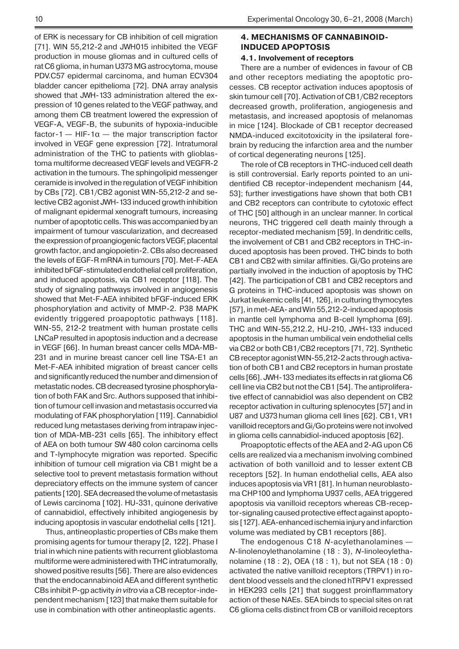of ERK is necessary for CB inhibition of cell migration [71]. WIN 55,212-2 and JWH015 inhibited the VEGF production in mouse gliomas and in cultured cells of rat C6 glioma, in human U373 MG astrocytoma, mouse PDV.C57 epidermal carcinoma, and human ECV304 bladder cancer epithelioma [72]. DNA array analysis showed that JWH-133 administration altered the expression of 10 genes related to the VEGF pathway, and among them CB treatment lowered the expression of VEGF-A, VEGF-B, the subunits of hypoxia-inducible factor-1 — HIF-1 $\alpha$  — the major transcription factor involved in VEGF gene expression [72]. Intratumoral administration of the THC to patients with glioblastoma multiforme decreased VEGF levels and VEGFR-2 activation in the tumours. The sphingolipid messenger ceramide is involved in the regulation of VEGF inhibition by CBs [72]. CB1/CB2 agonist WIN-55,212-2 and selective CB2 agonist JWH-133 induced growth inhibition of malignant epidermal xenograft tumours, increasing number of apoptotic cells. This was accompanied by an impairment of tumour vascularization, and decreased the expression of proangiogenic factors VEGF, placental growth factor, and angiopoietin-2. CBs also decreased the levels of EGF-R mRNA in tumours [70]. Met-F-AEA inhibited bFGF-stimulated endothelial cell proliferation, and induced apoptosis, via CB1 receptor [118]. The study of signaling pathways involved in angiogenesis showed that Met-F-AEA inhibited bFGF-induced ERK phosphorylation and activity of MMP-2. P38 MAPK evidently triggered proapoptotic pathways [118]. WIN-55, 212-2 treatment with human prostate cells LNCaP resulted in apoptosis induction and a decrease in VEGF [66]. In human breast cancer cells MDA-MB-231 and in murine breast cancer cell line TSA-E1 an Met-F-AEA inhibited migration of breast cancer cells and significantly reduced the number and dimension of metastatic nodes. CB decreased tyrosine phosphorylation of both FAK and Src. Authors supposed that inhibition of tumour cell invasion and metastasis occurred via modulating of FAK phosphorylation [119]. Cannabidiol reduced lung metastases deriving from intrapaw injection of MDA-MB-231 cells [65]. The inhibitory effect of AEA on both tumour SW 480 colon carcinoma cells and T-lymphocyte migration was reported. Specific inhibition of tumour cell migration via CB1 might be a selective tool to prevent metastasis formation without depreciatory effects on the immune system of cancer patients [120]. SEA decreased the volume of metastasis of Lewis carcinoma [102]. HU-331, quinone derivative of cannabidiol, effectively inhibited angiogenesis by inducing apoptosis in vascular endothelial cells [121].

Thus, antineoplastic properties of CBs make them promising agents for tumour therapy [2, 122]. Phase I trial in which nine patients with recurrent glioblastoma multiforme were administered with THC intratumorally, showed positive results [56]. There are also evidences that the endocannabinoid AEA and different synthetic CBs inhibit P-gp activity *in vitro* via a CB receptor-independent mechanism [123] that make them suitable for use in combination with other antineoplastic agents.

# **4. MECHANISMS OF CANNABINOID-INDUCED APOPTOSIS**

# **4.1. Involvement of receptors**

There are a number of evidences in favour of CB and other receptors mediating the apoptotic processes. CB receptor activation induces apoptosis of skin tumour cell [70]. Activation of CB1/CB2 receptors decreased growth, proliferation, angiogenesis and metastasis, and increased apoptosis of melanomas in mice [124]. Blockade of CB1 receptor decreased NMDA-induced excitotoxicity in the ipsilateral forebrain by reducing the infarction area and the number of cortical degenerating neurons [125].

The role of CB receptors in THC-induced cell death is still controversial. Early reports pointed to an unidentified CB receptor-independent mechanism [44, 53]; further investigations have shown that both CB1 and CB2 receptors can contribute to cytotoxic effect of THC [50] although in an unclear manner. In cortical neurons, THC triggered cell death mainly through a receptor-mediated mechanism [59]. In dendritic cells, the involvement of CB1 and CB2 receptors in THC-induced apoptosis has been proved. THC binds to both CB1 and CB2 with similar affinities. Gi/Go proteins are partially involved in the induction of apoptosis by THC [42]. The participation of CB1 and CB2 receptors and G proteins in THC-induced apoptosis was shown on Jurkat leukemic cells [41, 126], in culturing thymocytes [57], in met-AEA- and Win 55,212-2-induced apoptosis in mantle cell lymphoma and B-cell lymphoma [69]. THC and WIN-55,212.2, HU-210, JWH-133 induced apoptosis in the human umbilical vein endothelial cells via CB2 or both CB1/CB2 receptors [71, 72]. Synthetic CB receptor agonist WIN-55,212-2 acts through activation of both CB1 and CB2 receptors in human prostate cells [66]. JWH-133 mediates its effects in rat glioma C6 cell line via CB2 but not the CB1 [54]. The antiproliferative effect of cannabidiol was also dependent on CB2 receptor activation in culturing splenocytes [57] and in U87 and U373human glioma cell lines [62]. CB1, VR1 vanilloid receptors and Gi/Go proteins were not involved in glioma cells cannabidiol-induced apoptosis [62].

Proapoptotic effects of the AEA and 2-AG upon C6 cells are realized via a mechanism involving combined activation of both vanilloid and to lesser extent CB receptors [52]. In human endothelial cells, AEA also induces apoptosis via VR1 [81]. In human neuroblastoma CHP100 and lymphoma U937 cells, AEA triggered apoptosis via vanilloid receptors whereas CB-receptor-signaling caused protective effect against apoptosis [127]. AEA-enhanced ischemia injury and infarction volume was mediated by CB1 receptors [86].

The endogenous C18 *N*-acylethanolamines — *N*-linolenoylethanolamine (18 : 3), *N*-linoleoylethanolamine (18 : 2), OEA (18 : 1), but not SEA (18 : 0) activated the native vanilloid receptors (TRPV1) in rodent blood vessels and the cloned hTRPV1 expressed in HEK293 cells [21] that suggest proinflammatory action of these NAEs. SEA binds to special sites on rat C6 glioma cells distinct from CB or vanilloid receptors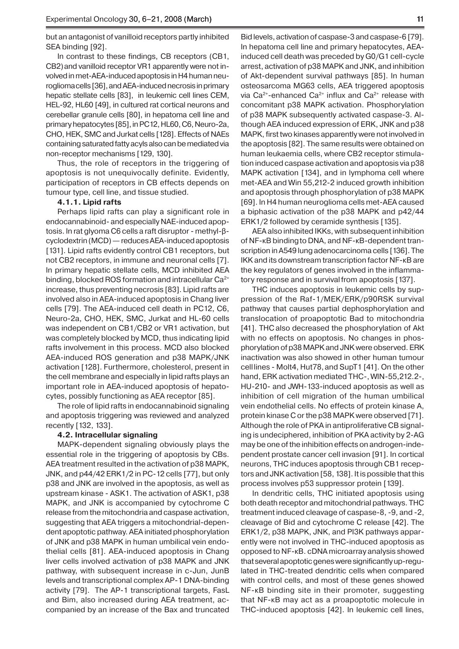but an antagonist of vanilloid receptors partly inhibited SEA binding [92].

In contrast to these findings, CB receptors (CB1, CB2)and vanilloid receptor VR1 apparently were not involved in met-AEA-induced apoptosis in H4 human neurogliomacells [36], and AEA-induced necrosis in primary hepatic stellate cells [83], in leukemic cell lines CEM, HEL-92, HL60 [49], in cultured rat cortical neurons and cerebellar granule cells [80], in hepatoma cell line and primary hepatocytes [85], in PC12, HL60, C6, Neuro-2a, CHO, HEK, SMC and Jurkat cells [128]. Effects of NAEs containing saturated fatty acyls also can be mediated via non-receptor mechanisms [129, 130].

Thus, the role of receptors in the triggering of apoptosis is not unequivocally definite. Evidently, participation of receptors in CB effects depends on tumour type, cell line, and tissue studied.

#### **4.1.1. Lipid rafts**

Perhaps lipid rafts can play a significant role in endocannabinoid- and especially NAE-induced apoptosis. In rat glyoma C6 cells a raft disruptor - methyl-βcyclodextrin (MCD) — reduces AEA-induced apoptosis [131]. Lipid rafts evidently control CB1 receptors, but not CB2 receptors, in immune and neuronal cells [7]. In primary hepatic stellate cells, MCD inhibited AEA binding, blocked ROS formation and intracellular Ca<sup>2+</sup> increase, thus preventing necrosis [83]. Lipid rafts are involved also in AEA-induced apoptosis in Chang liver cells [79]. The AEA-induced cell death in PC12, C6, Neuro-2a, CHO, HEK, SMC, Jurkat and HL-60 cells was independent on CB1/CB2 or VR1 activation, but was completely blocked by MCD, thus indicating lipid rafts involvement in this process. MCD also blocked AEA-induced ROS generation and p38 MAPK/JNK activation [128]. Furthermore, cholesterol, present in the cell membrane and especially in lipid rafts plays an important role in AEA-induced apoptosis of hepatocytes, possibly functioning as AEA receptor [85].

The role of lipid rafts in endocannabinoid signaling and apoptosis triggering was reviewed and analyzed recently [132, 133].

### **4.2. Intracellular signaling**

MAPK-dependent signaling obviously plays the essential role in the triggering of apoptosis by CBs. AEA treatment resulted in the activation of p38 MAPK, JNK, and p44/42 ERK1/2 in PC-12 cells [77], but only p38 and JNK are involved in the apoptosis, as well as upstream kinase - ASK1. The activation of ASK1, p38 MAPK, and JNK is accompanied by cytochrome C release from the mitochondria and caspase activation, suggesting that AEA triggers a mitochondrial-dependent apoptotic pathway. AEA initiated phosphorylation of JNK and p38 MAPK in human umbilical vein endothelial cells [81]. AEA-induced apoptosis in Chang liver cells involved activation of p38 MAPK and JNK pathway, with subsequent increase in c-Jun, JunB levels and transcriptional complex AP-1 DNA-binding activity [79]. The AP-1 transcriptional targets, FasL and Bim, also increased during AEA treatment, accompanied by an increase of the Bax and truncated

Bid levels, activation of caspase-3 and caspase-6 [79]. In hepatoma cell line and primary hepatocytes, AEAinduced cell death was preceded by G0/G1 cell-cycle arrest, activation of p38 MAPK and JNK, and inhibition of Akt-dependent survival pathways [85]. In human osteosarcoma MG63 cells, AEA triggered apoptosis via Ca<sup>2+</sup>-enhanced Ca<sup>2+</sup> influx and Ca<sup>2+</sup> release with concomitant p38 MAPK activation. Phosphorylation of p38 MAPK subsequently activated caspase-3. Although AEA induced expression of ERK, JNK and p38 MAPK, first two kinases apparently were not involved in the apoptosis [82]. The same results were obtained on human leukaemia cells, where CB2 receptor stimulation induced caspase activation and apoptosis via p38 MAPK activation [134], and in lymphoma cell where met-AEA and Win 55,212-2 induced growth inhibition and apoptosis through phosphorylation of p38 MAPK [69]. In H4 human neuroglioma cells met-AEA caused a biphasic activation of the p38 MAPK and p42/44 ERK1/2 followed by ceramide synthesis [135].

AEA also inhibited IKKs, with subsequent inhibition of NF-κB bindingto DNA, and NF-κB-dependent transcription in A549 lung adenocarcinoma cells [136]. The IKK and its downstream transcription factor NF-κB are the key regulators of genes involved in the inflammatory response and in survival from apoptosis [137].

THC induces apoptosis in leukemic cells by suppression of the Raf-1/MEK/ERK/p90RSK survival pathway that causes partial dephosphorylation and translocation of proapoptotic Bad to mitochondria [41]. THC also decreased the phosphorylation of Akt with no effects on apoptosis. No changes in phosphorylation of p38 MAPK and JNK were observed. ERK inactivation was also showed in other human tumour celllines - Molt4, Hut78,and SupT1 [41]. On the other hand, ERK activation mediated THC-, WIN-55,212.2-, HU-210- and JWH-133-induced apoptosis as well as inhibition of cell migration of the human umbilical vein endothelial cells. No effects of protein kinase A, protein kinase C or the p38 MAPK were observed [71]. Although the role of PKA in antiproliferative CB signaling is undeciphered, inhibition of PKA activity by 2-AG may be one of the inhibition effects on androgen-independent prostate cancer cell invasion [91]. In cortical neurons, THC induces apoptosis through CB1 receptors and JNK activation [58, 138]. It is possible that this process involves p53 suppressor protein [139].

In dendritic cells, THC initiated apoptosis using both death receptor and mitochondrial pathways. THC treatment induced cleavage of caspase-8, -9, and -2, cleavage of Bid and cytochrome C release [42]. The ERK1/2, p38 MAPK, JNK, and PI3K pathways apparently were not involved in THC-induced apoptosis as opposed to NF-κB. cDNA microarray analysis showed that several apoptotic genes were significantly up-regulated in THC-treated dendritic cells when compared with control cells, and most of these genes showed NF-κB binding site in their promoter, suggesting that NF-κB may act as a proapoptotic molecule in THC-induced apoptosis [42]. In leukemic cell lines,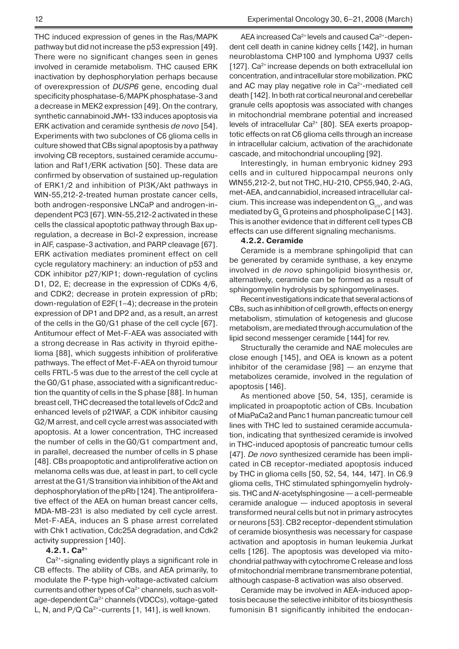THC induced expression of genes in the Ras/MAPK pathway but did not increase the p53 expression [49]. There were no significant changes seen in genes involved in ceramide metabolism. THC caused ERK inactivation by dephosphorylation perhaps because of overexpression of *DUSP6* gene, encoding dual specificity phosphatase-6/MAPK phosphatase-3 and a decrease in MEK2 expression [49]. On the contrary, synthetic cannabinoid JWH-133 induces apoptosis via ERK activation and ceramide synthesis *de novo* [54]. Experiments with two subclones of C6 glioma cells in culture showed that CBs signal apoptosis by a pathway involving CB receptors, sustained ceramide accumulation and Raf1/ERK activation [50]. These data are confirmed by observation of sustained up-regulation of ERK1/2 and inhibition of PI3K/Akt pathways in WIN-55,212-2-treated human prostate cancer cells, both androgen-responsive LNCaP and androgen-independent PC3 [67]. WIN-55,212-2 activated in these cells the classical apoptotic pathway through Bax upregulation, a decrease in Bcl-2 expression, increase in AIF, caspase-3 activation, and PARP cleavage [67]. ERK activation mediates prominent effect on cell cycle regulatory machinery: an induction of p53 and CDK inhibitor p27/KIP1; down-regulation of cyclins D1, D2, E; decrease in the expression of CDKs 4/6, and CDK2; decrease in protein expression of pRb; down-regulation of E2F(1–4); decrease in the protein expression of DP1 and DP2 and, as a result, an arrest of the cells in the G0/G1 phase of the cell cycle [67]. Antitumour effect of Met-F-AEA was associated with a strong decrease in Ras activity in thyroid epithelioma [88], which suggests inhibition of proliferative pathways. The effect of Met-F-AEA on thyroid tumour cells FRTL-5 was due to the arrest of the cell cycle at the G0/G1 phase, associated with a significantreduction the quantity of cells in the S phase [88]. In human breast cell, THC decreased the total levels of Cdc2 and enhanced levels of p21WAF, a CDK inhibitor causing G2/M arrest, and cell cycle arrest was associated with apoptosis. At a lower concentration, THC increased the number of cells in the G0/G1 compartment and, in parallel, decreased the number of cells in S phase [48]. CBs proapoptotic and antiproliferative action on melanoma cells was due, at least in part, to cell cycle arrest at the G1/S transition via inhibition of the Akt and dephosphorylation of the pRb [124]. The antiproliferative effect of the AEA on human breast cancer cells, MDA-MB-231 is also mediated by cell cycle arrest. Met-F-AEA, induces an S phase arrest correlated with Chk1 activation, Cdc25A degradation, and Cdk2 activity suppression [140].

### **4.2.1. Ca2+**

Ca<sup>2+</sup>-signaling evidently plays a significant role in CB effects. The ability of CBs, and AEA primarily, to modulate the P-type high-voltage-activated calcium currents and other types of  $Ca^{2+}$  channels, such as voltage-dependent Ca<sup>2+</sup> channels (VDCCs), voltage-gated L, N, and  $P/Q Ca<sup>2+</sup>$ -currents  $[1, 141]$ , is well known.

AEA increased  $Ca^{2+}$  levels and caused  $Ca^{2+}$ -dependent cell death in canine kidney cells [142], in human neuroblastoma CHP100 and lymphoma U937 cells  $[127]$ . Ca<sup>2+</sup> increase depends on both extracellulal ion concentration, and intracellular store mobilization. PKC and AC may play negative role in Ca<sup>2+</sup>-mediated cell death [142]. In both rat cortical neuronal and cerebellar granule cells apoptosis was associated with changes in mitochondrial membrane potential and increased levels of intracellular Ca<sup>2+</sup> [80]. SEA exerts proapoptotic effects on rat C6 glioma cells through an increase in intracellular calcium, activation of the arachidonate cascade, and mitochondrial uncoupling [92].

Interestingly, in human embryonic kidney 293 cells and in cultured hippocampal neurons only WIN55,212-2, but not THC,HU-210, CP55,940, 2-AG, met-AEA, and cannabidiol, increased intracellular calcium. This increase was independent on  $G_{i\alpha}$ , and was mediated by  $G<sub>a</sub>$  G proteins and phospholipase C [143]. This is another evidence that in different cell types CB effects can use different signaling mechanisms.

### **4.2.2. Ceramide**

Ceramide is a membrane sphingolipid that can be generated by ceramide synthase, a key enzyme involved in *de novo* sphingolipid biosynthesis or, alternatively, ceramide can be formed as a result of sphingomyelin hydrolysis by sphingomyelinases.

Recent investigations indicate that several actions of CBs, such as inhibition of cell growth, effects on energy metabolism, stimulation of ketogenesis and glucose metabolism, are mediated through accumulation of the lipid second messenger ceramide [144] for rev.

Structurally the ceramide and NAE molecules are close enough [145], and OEA is known as a potent inhibitor of the ceramidase  $[98]$  - an enzyme that metabolizes ceramide, involved in the regulation of apoptosis [146].

As mentioned above [50, 54, 135], ceramide is implicated in proapoptotic action of CBs. Incubation of MiaPaCa2 and Panc1 human pancreatic tumour cell lines with THC led to sustained ceramide accumulation, indicating that synthesized ceramide is involved in THC-induced apoptosis of pancreatic tumour cells [47]. *De novo* synthesized ceramide has been implicated in CB receptor-mediated apoptosis induced by THC in glioma cells [50, 52, 54, 144, 147]. In C6.9 glioma cells, THC stimulated sphingomyelin hydrolysis. THC and *N*-acetylsphingosine — a cell-permeable ceramide analogue — induced apoptosis in several transformed neural cells but not in primary astrocytes or neurons [53]. CB2 receptor-dependent stimulation of ceramide biosynthesis was necessary for caspase activation and apoptosis in human leukemia Jurkat cells [126]. The apoptosis was developed via mitochondrial pathway with cytochrome C release and loss of mitochondrial membrane transmembrane potential, although caspase-8 activation was also observed.

Ceramide may be involved in AEA-induced apoptosis because the selective inhibitor of its biosynthesis fumonisin B1 significantly inhibited the endocan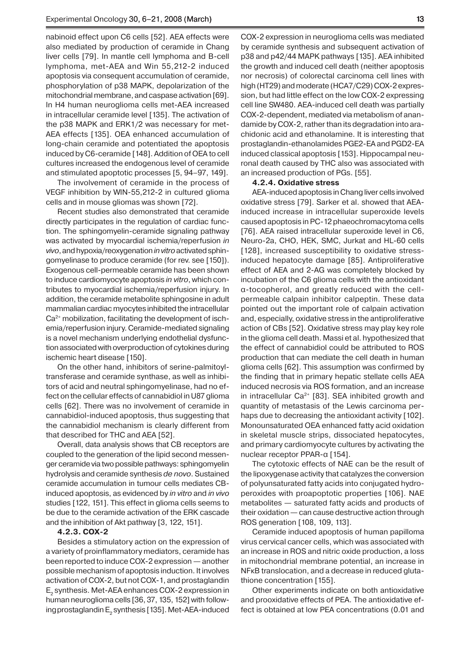nabinoid effect upon C6 cells [52]. AEA effects were also mediated by production of ceramide in Chang liver cells [79]. In mantle cell lymphoma and B-cell lymphoma, met-AEA and Win 55,212-2 induced apoptosis via consequent accumulation of ceramide, phosphorylation of p38 MAPK, depolarization of the mitochondrial membrane, and caspase activation [69]. In H4 human neuroglioma cells met-AEA increased in intracellular ceramide level [135]. The activation of the p38 MAPK and ERK1/2 was necessary for met-AEA effects [135]. OEA enhanced accumulation of long-chain ceramide and potentiated the apoptosis induced by C6-ceramide [148]. Addition of OEA to cell cultures increased the endogenous level of ceramide and stimulated apoptotic processes [5, 94–97, 149].

The involvement of ceramide in the process of VEGF inhibition by WIN-55,212-2 in cultured glioma cells and in mouse gliomas was shown [72].

Recent studies also demonstrated that ceramide directly participates in the regulation of cardiac function. The sphingomyelin-ceramide signaling pathway was activated by myocardial ischemia/reperfusion *in vivo*, and hypoxia/reoxygenation *invitro* activated sphingomyelinase to produce ceramide (for rev. see [150]). Exogenous cell-permeable ceramide has been shown to induce cardiomyocyte apoptosis *in vitro*, which contributes to myocardial ischemia/reperfusion injury. In addition, the ceramide metabolite sphingosine in adult mammalian cardiac myocytes inhibited the intracellular Ca<sup>2+</sup> mobilization, facilitating the development of ischemia/reperfusion injury. Ceramide-mediated signaling is a novel mechanism underlying endothelial dysfunction associated with overproduction of cytokines during ischemic heart disease [150].

On the other hand, inhibitors of serine-palmitoyltransferase and ceramide synthase, as well as inhibitors of acid and neutral sphingomyelinase, had no effect on the cellular effects of cannabidiol in U87 glioma cells [62]. There was no involvement of ceramide in cannabidiol-induced apoptosis, thus suggesting that the cannabidiol mechanism is clearly different from that described for THC and AEA [52].

Overall, data analysis shows that CB receptors are coupled to the generation of the lipid second messenger ceramide via two possible pathways: sphingomyelin hydrolysis and ceramide synthesis *de novo*. Sustained ceramide accumulation in tumour cells mediates CBinduced apoptosis, as evidenced by *in vitro* and *in vivo* studies [122, 151]. This effect in glioma cells seems to be due to the ceramide activation of the ERK cascade and the inhibition of Akt pathway [3, 122, 151].

## **4.2.3. COX-2**

Besides a stimulatory action on the expression of a variety of proinflammatory mediators, ceramide has been reported to induce COX-2 expression — another possible mechanism of apoptosis induction. It involves activation of COX-2, but not COX-1, and prostaglandin E<sub>2</sub> synthesis. Met-AEA enhances COX-2 expression in human neuroglioma cells [36, 37, 135, 152] with following prostaglandin  $\mathsf{E}_{\mathsf{2}}$  synthesis [135]. Met-AEA-induced

COX-2 expression in neuroglioma cells was mediated by ceramide synthesis and subsequent activation of p38 and p42/44 MAPK pathways [135]. AEA inhibited the growth and induced cell death (neither apoptosis nor necrosis) of colorectal carcinoma cell lines with high (HT29) and moderate (HCA7/C29) COX-2 expression, but had little effect on the low COX-2 expressing cell line SW480. AEA-induced cell death was partially COX-2-dependent, mediated via metabolism of anandamide by COX-2, rather than its degradation into arachidonic acid and ethanolamine. It is interesting that prostaglandin-ethanolamides PGE2-EA and PGD2-EA induced classical apoptosis [153]. Hippocampal neuronal death caused by THC also was associated with an increased production of PGs. [55].

#### **4.2.4. Oxidative stress**

AEA-induced apoptosis in Chang liver cells involved oxidative stress [79]. Sarker et al. showed that AEAinduced increase in intracellular superoxide levels caused apoptosis in PC-12 phaeochromacytoma cells [76]. AEA raised intracellular superoxide level in C6, Neuro-2a, CHO, HEK, SMC, Jurkat and HL-60 cells [128], increased susceptibility to oxidative stressinduced hepatocyte damage [85]. Antiproliferative effect of AEA and 2-AG was completely blocked by incubation of the C6 glioma cells with the antioxidant α-tocopherol, and greatly reduced with the cellpermeable calpain inhibitor calpeptin. These data pointed out the important role of calpain activation and, especially, oxidative stress in the antiproliferative action of CBs [52]. Oxidative stress may play key role in the glioma cell death. Massi et al. hypothesized that the effect of cannabidiol could be attributed to ROS production that can mediate the cell death in human glioma cells [62]. This assumption was confirmed by the finding that in primary hepatic stellate cells AEA induced necrosis via ROS formation, and an increase in intracellular  $Ca^{2+}$  [83]. SEA inhibited growth and quantity of metastasis of the Lewis carcinoma perhaps due to decreasing the antioxidant activity [102]. Monounsaturated OEA enhanced fatty acid oxidation in skeletal muscle strips, dissociated hepatocytes, and primary cardiomyocyte cultures by activating the nuclear receptor PPAR-α [154].

The cytotoxic effects of NAE can be the result of the lipoxygenase activity that catalyzes the conversion of polyunsaturated fatty acids into conjugated hydroperoxides with proapoptotic properties [106]. NAE metabolites — saturated fatty acids and products of their oxidation — can cause destructive action through ROS generation [108, 109, 113].

Ceramide induced apoptosis of human papilloma virus cervical cancer cells, which was associated with an increase in ROS and nitric oxide production, a loss in mitochondrial membrane potential, an increase in NFκB translocation, and a decrease in reduced glutathione concentration [155].

Other experiments indicate on both antioxidative and prooxidative effects of PEA. The antioxidative effect is obtained at low PEA concentrations (0.01 and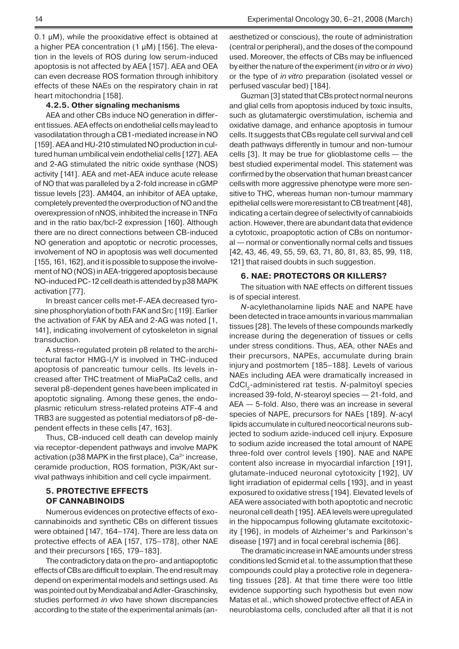$0.1 \mu$ M), while the prooxidative effect is obtained at a higher PEA concentration (1 μM) [156]. The elevation in the levels of ROS during low serum-induced apoptosis is not affected by AEA [157]. AEA and OEA can even decrease ROS formation through inhibitory effects of these NAEs on the respiratory chain in rat heart mitochondria [158].

#### **4.2.5. Other signaling mechanisms**

AEA and other CBs induce NO generation in different tissues. AEA effects on endothelial cells may lead to vasodilatation through a CB1-mediated increase in NO [159]. AEA and HU-210 stimulated NO production in cultured human umbilical vein endothelial cells [127]. AEA and 2-AG stimulated the nitric oxide synthase (NOS) activity [141]. AEA and met-AEA induce acute release of NO that was paralleled by a 2-fold increase in cGMP tissue levels [23]. AM404, an inhibitor of AEA uptake, completely prevented the overproduction of NO and the overexpression of nNOS, inhibited the increase in TNFα and in the ratio bax/bcl-2 expression [160]. Although there are no direct connections between CB-induced NO generation and apoptotic or necrotic processes, involvement of NO in apoptosis was well documented [155, 161, 162], and it is possible to suppose the involvement of NO (NOS) in AEA-triggered apoptosis because NO-induced PC-12 cell death is attended by p38 MAPK activation [77].

In breast cancer cells met-F-AEA decreased tyrosine phosphorylation of both FAK and Src [119]. Earlier the activation of FAK by AEA and 2-AG was noted [1, 141], indicating involvement of cytoskeleton in signal transduction.

A stress-regulated protein p8 related to the architectural factor HMG-I/Y is involved in THC-induced apoptosis of pancreatic tumour cells. Its levels increased after THC treatment of MiaPaCa2 cells, and several p8-dependent genes havebeen implicated in apoptotic signaling. Among these genes, the endoplasmic reticulum stress-related proteins ATF-4 and TRB3 are suggested as potential mediatorsof p8-dependent effects in these cells [47, 163].

Thus, CB-induced cell death can develop mainly via receptor-dependent pathways and involve MAPK activation ( $p38$  MAPK in the first place),  $Ca<sup>2+</sup>$  increase, ceramide production, ROS formation, PI3K/Akt survival pathways inhibition and cell cycle impairment.

## **5. PROTECTIVE EFFECTS OF CANNABINOIDS**

Numerous evidences on protective effects of exocannabinoids and synthetic CBs on different tissues were obtained [147, 164–174]. There are less data on protective effects of AEA [157, 175–178], other NAE and their precursors [165, 179–183].

The contradictory data on the pro- and antiapoptotic effects of CBs are difficult to explain. The end result may depend on experimental models and settings used. As was pointed out by Mendizabal and Adler-Graschinsky, studies performed *in vivo* have shown discrepancies according to the state of the experimental animals (anaesthetized or conscious), the route of administration (central or peripheral), and the doses of the compound used. Moreover, the effects of CBs may be influenced by either the nature of the experiment (*in vitro* or *in vivo*) or the type of *in vitro* preparation (isolated vessel or perfused vascular bed) [184].

Guzman [3] stated that CBs protect normal neurons and glial cells from apoptosis induced by toxic insults, such as glutamatergic overstimulation, ischemia and oxidative damage, and enhance apoptosis in tumour cells. It suggests that CBs regulate cell survival and cell death pathways differently in tumour and non-tumour cells [3]. It may be true for glioblastome cells — the best studied experimental model. This statement was confirmed by the observation that human breast cancer cellswith more aggressive phenotype were more sensitive to THC, whereas human non-tumour mammary epithelial cells were moreresistant to CB treatment [48], indicating a certain degree of selectivity of cannabioids action. However, there are abundant data that evidence a cytotoxic, proapoptotic action of CBs on nontumoral — normal or conventionally normal cells and tissues [42, 43, 46, 49, 55, 59, 63, 71, 80, 81, 83, 85, 99, 118, 121] that raised doubts in such suggestion.

#### **6. NAE: PROTECTORS OR KILLERS?**

The situation with NAE effects on different tissues is of special interest.

*N*-acylethanolamine lipids NAE and NAPE have been detected in trace amounts in various mammalian tissues [28]. The levels of these compounds markedly increase during the degeneration of tissues or cells under stress conditions. Thus, AEA, other NAEs and their precursors, NAPEs, accumulate during brain injury and postmortem [185–188]. Levels of various NAEs including AEA were dramatically increased in CdCl<sub>2</sub>-administered rat testis. *N*-palmitoyl species increased 39-fold, *N*-stearoyl species — 21-fold, and AEA — 5-fold. Also, there was an increase in several species of NAPE, precursors for NAEs [189]. *N*-acyl lipids accumulate in cultured neocortical neurons subjected to sodium azide-induced cell injury. Exposure to sodium azide increased the total amount of NAPE three-fold over control levels [190]. NAE and NAPE content also increase in myocardial infarction [191], glutamate-induced neuronal cytotoxicity [192], UV light irradiation of epidermal cells [193], and in yeast exposured to oxidative stress [194]. Elevated levels of AEA were associated with both apoptotic and necrotic neuronal cell death [195]. AEA levels were upregulated in the hippocampus following glutamate excitotoxicity [196], in models of Alzheimer's and Parkinson's disease [197] and in focal cerebral ischemia [86].

The dramatic increase in NAE amounts under stress conditions led Scmid et al. to the assumption that these compounds could play a protective role in degenerating tissues [28]. At that time there were too little evidence supporting such hypothesis but even now Matas et al., which showed protective effect of AEA in neuroblastoma cells, concluded after all that it is not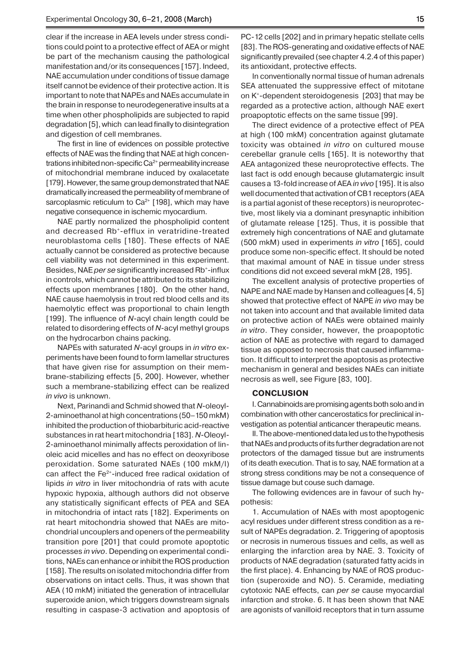clear if the increase in AEA levels under stress conditions could point to a protective effect of AEA or might be part of the mechanism causing the pathological manifestation and/or its consequences [157]. Indeed, NAE accumulation under conditions of tissue damage itself cannot be evidence of their protective action. It is important to note that NAPEs and NAEs accumulate in the brain in response to neurodegenerative insults at a time when other phospholipids are subjected to rapid degradation [5], which can lead finally to disintegration and digestion of cell membranes.

The first in line of evidences on possible protective effects of NAE was the finding that NAE at high concentrations inhibited non-specific Ca<sup>2+</sup> permeability increase of mitochondrial membrane induced by oxalacetate [179]. However, the same group demonstrated that NAE dramatically increased the permeability of membrane of sarcoplasmic reticulum to  $Ca<sup>2+</sup>$  [198], which may have negative consequence in ischemic myocardium.

NAE partly normalized the phospholipid content and decreased Rb+-efflux in veratridine-treated neuroblastoma cells [180]. These effects of NAE actually cannot be considered as protective because cell viability was not determined in this experiment. Besides, NAE *per se* significantly increased Rb+-influx in controls, which cannot be attributed to its stabilizing effects upon membranes [180]. On the other hand, NAE cause haemolysis in trout red blood cells and its haemolytic effect was proportional to chain length [199]. The influence of *N*-acyl chain length could be related to disordering effects of *N*-acyl methyl groups on the hydrocarbon chains packing.

NAPEs with saturated *N*-acyl groups in *in vitro* experiments have been found to form lamellar structures that have given rise for assumption on their membrane-stabilizing effects [5, 200]. However, whether such a membrane-stabilizing effect can be realized *in vivo* is unknown.

Next, Parinandi and Schmid showed that *N*-oleoyl-2-aminoethanol at high concentrations (50–150 mkM) inhibited the production of thiobarbituric acid-reactive substances in rat heart mitochondria [183]. *N*-Oleoyl-2-aminoethanol minimally affects peroxidation of linoleic acid micelles and has no effect on deoxyribose peroxidation. Some saturated NAEs (100 mkM/l) can affect the Fe<sup>2+</sup>-induced free radical oxidation of lipids *in vitro* in liver mitochondria of rats with acute hypoxic hypoxia, although authors did not observe any statistically significant effects of PEA and SEA in mitochondria of intact rats [182]. Experiments on rat heart mitochondria showed that NAEs are mitochondrial uncouplers and openers of the permeability transition pore [201] that could promote apoptotic processes *in vivo*. Depending on experimental conditions, NAEs can enhance or inhibit the ROS production [158]. The results on isolated mitochondria differ from observations on intact cells. Thus, it was shown that AEA (10 mkM) initiated the generation of intracellular superoxide anion, which triggers downstream signals resulting in caspase-3 activation and apoptosis of PC-12 cells [202] and in primary hepatic stellate cells [83]. The ROS-generating and oxidative effects of NAE significantly prevailed (see chapter 4.2.4 of this paper) its antioxidant, protective effects.

In conventionally normal tissue of human adrenals SEA attenuated the suppressive effect of mitotane on K+-dependent steroidogenesis [203] that may be regarded as a protective action, although NAE exert proapoptotic effects on the same tissue [99].

The direct evidence of a protective effect of PEA at high (100 mkM) concentration against glutamate toxicity was obtained *in vitro* on cultured mouse cerebellar granule cells [165]. It is noteworthy that AEA antagonized these neuroprotective effects. The last fact is odd enough because glutamatergic insult causes a 13-fold increase of AEA *in vivo* [195]. It is also well documented that activation of CB1 receptors (AEA is a partial agonist of these receptors) is neuroprotective, most likely via a dominant presynaptic inhibition of glutamate release [125]. Thus, it is possible that extremely high concentrations of NAE and glutamate (500 mkM) used in experiments *in vitro* [165], could produce some non-specific effect. It should be noted that maximal amount of NAE in tissue under stress conditions did not exceed several mkM [28, 195].

The excellent analysis of protective properties of NAPE and NAE made by Hansen and colleagues [4, 5] showed that protective effect of NAPE *in vivo* may be not taken into account and that available limited data on protective action of NAEs were obtained mainly *in vitro*. They consider, however, the proapoptotic action of NAE as protective with regard to damaged tissue as opposed to necrosis that caused inflammation. It difficult to interpret the apoptosis as protective mechanism in general and besides NAEs can initiate necrosis as well, see Figure [83, 100].

# **CONCLUSION**

I. Cannabinoids are promising agents both solo and in combination with other cancerostatics for preclinical investigation as potential anticancer therapeutic means.

II. The above-mentioned data led us to the hypothesis that NAEs and products of its further degradation are not protectors of the damaged tissue but are instruments of its death execution. That is to say, NAE formation at a strong stress conditions may be not a consequence of tissue damage but couse such damage.

The following evidences are in favour of such hypothesis:

1. Accumulation of NAEs with most apoptogenic acyl residues under different stress condition as a result of NAPEs degradation. 2. Triggering of apoptosis or necrosis in numerous tissues and cells, as well as enlarging the infarction area by NAE. 3. Toxicity of products of NAE degradation (saturated fatty acids in the first place). 4. Enhancing by NAE of ROS production (superoxide and NO). 5. Ceramide, mediating cytotoxic NAE effects, can *per se* cause myocardial infarction and stroke. 6. It has been shown that NAE are agonists of vanilloid receptors that in turn assume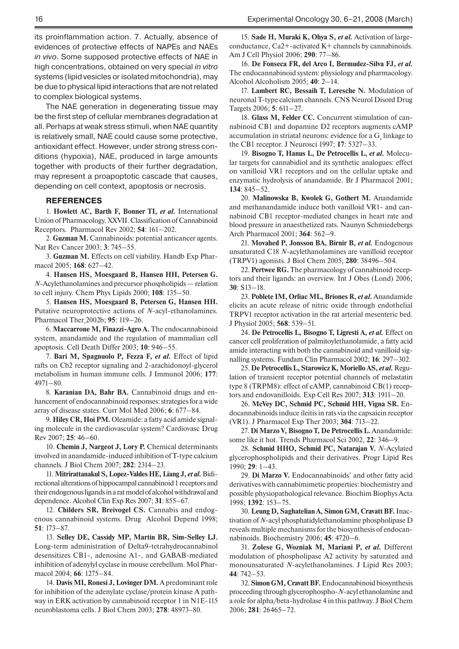its proinflammation action. 7. Actually, absence of evidences of protective effects of NAPEs and NAEs *in vivo*. Some supposed protective effects of NAE in high concentrations, obtained on very special *in vitro* systems (lipid vesicles or isolated mitochondria), may be due to physical lipid interactions that are not related to complex biological systems.

The NAE generation in degenerating tissue may be the first step of cellular membranes degradation at all. Perhaps at weak stress stimuli, when NAE quantity is relatively small, NAE could cause some protective, antioxidant effect. However, under strong stress conditions (hypoxia), NAE, produced in large amounts together with products of their further degradation, may represent a proapoptotic cascade that causes, depending on cell context, apoptosis or necrosis.

#### **REFERENCES**

1. **Howlett AC, Barth F, Bonner TI,** *et al.* International Union of Pharmacology. XXVII. Classification of Cannabinoid Receptors. Pharmacol Rev 2002; **54**: 161–202.

2. **Guzman M.** Cannabinoids: potential anticancer agents. Nat Rev Cancer 2003; **3**: 745–55.

3. **Guzman M.** Effects on cell viability. Handb Exp Pharmacol 2005; **168**: 627–42.

4. **Hansen HS, Moesgaard B, Hansen HH, Petersen G.**  *N-*Acylethanolamines and precursor phospholipids — relation to cell injury. Chem Phys Lipids 2000; **108**: 135–50.

5. **Hansen HS, Moesgaard B, Petersen G, Hansen HH.**  Putative neuroprotective actions of *N*-acyl-ethanolamines. Pharmacol Ther 2002b; **95**: 119–26.

6. **Maccarrone M, Finazzi-Agro A.** The endocannabinoid system, anandamide and the regulation of mammalian cell apoptosis. Cell Death Differ 2003; **10**: 946–55.

7. **Bari M, Spagnuolo P, Fezza F,** *et al.* Effect of lipid rafts on Cb2 receptor signaling and 2-arachidonoyl-glycerol metabolism in human immune cells. J Immunol 2006; **177**: 4971–80.

8. **Karanian DA, Bahr BA.** Cannabinoid drugs and enhancement of endocannabinoid responses: strategies for a wide array of disease states. Curr Mol Med 2006; **6**: 677–84.

9. **Hiley CR, Hoi PM.** Oleamide: a fatty acid amide signaling molecule in the cardiovascular system? Cardiovasc Drug Rev 2007; **25**: 46–60.

10. **Chemin J, Nargeot J, Lory P.** Chemical determinants involved in anandamide-induced inhibition of T-type calcium channels. J Biol Chem 2007; **282**: 2314–23.

11. **Mitrirattanakul S, Lopez-Valdes HE, Liang J,** *et al.*Bidirectional alterations of hippocampal cannabinoid 1 receptors and their endogenous ligands in a rat model of alcohol withdrawal and dependence. Alcohol Clin Exp Res 2007; **31**: 855–67.

12. **Childers SR, Breivogel CS.** Cannabis and endogenous cannabinoid systems. Drug Alcohol Depend 1998; **51**: 173–87.

13. **Selley DE, Cassidy MP, Martin BR, Sim-Selley LJ.**  Long-term administration of Delta9-tetrahydrocannabinol desensitizes CB1-, adenosine A1-, and GABAB-mediated inhibition of adenylyl cyclase in mouse cerebellum. Mol Pharmacol 2004; **66**: 1275–84.

14. **Davis MI, Ronesi J, Lovinger DM.** A predominant role for inhibition of the adenylate cyclase/protein kinase A pathway in ERK activation by cannabinoid receptor 1 in N1E-115 neuroblastoma cells. J Biol Chem 2003; **278**: 48973−80.

15. **Sade H, Muraki K, Ohya S,** *et al.* Activation of largeconductance, Ca2+-activated K+ channels by cannabinoids. Am J Cell Physiol 2006; **290**: 77–86.

16. **De Fonseca FR, del Arco I, Bermudez-Silva FJ,** *et al.*  The endocannabinoid system: physiology and pharmacology. Alcohol Alcoholism 2005; **40**: 2–14.

17. **Lambert RC, Bessaih T, Leresche N.** Modulation of neuronal T-type calcium channels. CNS Neurol Disord Drug Targets 2006; **5**: 611–27.

18. **Glass M, Felder CC.** Concurrent stimulation of cannabinoid CB1 and dopamine D2 receptors augments cAMP accumulation in striatal neurons: evidence for a  $\mathrm{G}_{_{\mathrm{s}}}$  linkage to the CB1 receptor. J Neurosci 1997; **17**: 5327–33.

19. **Bisogno T, Hanus L, De Petrocellis L,** *et al.* Molecular targets for cannabidiol and its synthetic analogues: effect on vanilloid VR1 receptors and on the cellular uptake and enzymatic hydrolysis of anandamide. Br J Pharmacol 2001; **134**: 845–52.

20. **Malinowska B, Kwolek G, Gothert M.** Anandamide and methanandamide induce both vanilloid VR1- and cannabinoid CB1 receptor-mediated changes in heart rate and blood pressure in anaesthetized rats. Naunyn Schmiedebergs Arch Pharmacol 2001; **364**: 562–9.

21. **Movahed P, Jonsson BA, Birnir B,** *et al.* Endogenous unsaturated C18 *N-*acylethanolamines are vanilloid receptor (TRPV1) agonists. J Biol Chem 2005; **280**: 38496–504.

22. **Pertwee RG.** The pharmacology of cannabinoid receptors and their ligands: an overview. Int J Obes (Lond) 2006; **30**: S13–18.

23. **Poblete IM, Orliac ML, Briones R,** *et al.* Anandamide elicits an acute release of nitric oxide through endothelial TRPV1 receptor activation in the rat arterial mesenteric bed. J Physiol 2005; **568**: 539–51.

24. **De Petrocellis L, Bisogno T, Ligresti A,** *et al.* Effect on cancer cell proliferation of palmitoylethanolamide, a fatty acid amide interacting with both the cannabinoid and vanilloid signalling systems. Fundam Clin Pharmacol 2002; **16**: 297–302.

25. **De Petrocellis L, Starowicz K, Moriello AS,** *et al.* Regulation of transient receptor potential channels of melastatin type 8 (TRPM8): effect of cAMP, cannabinoid CB(1) receptors and endovanilloids. Exp Cell Res 2007; **313**: 1911–20.

26. **McVey DC, Schmid PC, Schmid HH, Vigna SR.** Endocannabinoids induce ileitis in rats via the capsaicin receptor (VR1). J Pharmacol Exp Ther 2003; **304**: 713–22.

27. **Di Marzo V, Bisogno T, De Petrocellis L.** Anandamide: some like it hot. Trends Pharmacol Sci 2002, **22**: 346–9.

28. **Schmid HHO, Schmid PC, Natarajan V.** *N*-Acylated glycerophospholipids and their derivatives. Progr Lipid Res 1990; **29**: 1–43.

29. **Di Marzo V.** Endocannabinoids' and other fatty acid derivatives with cannabimimetic properties: biochemistry and possible physiopathological relevance. Biochim Biophys Acta 1998; **1392**: 153–75.

30. **Leung D, Saghatelian A, Simon GM, Cravatt BF.** Inactivation of *N*-acyl phosphatidylethanolamine phospholipase D reveals multiple mechanisms for the biosynthesis of endocannabinoids. Biochemistry 2006; **45**: 4720–6.

31. **Zolese G, Wozniak M, Mariani P,** *et al.* Different modulation of phospholipase A2 activity by saturated and monounsaturated *N-*acylethanolamines. J Lipid Res 2003; **44**: 742–53.

32. **Simon GM, Cravatt BF.** Endocannabinoid biosynthesis proceeding through glycerophospho-*N*-acyl ethanolamine and a role for alpha/beta-hydrolase 4 in this pathway. J Biol Chem 2006; **281**: 26465–72.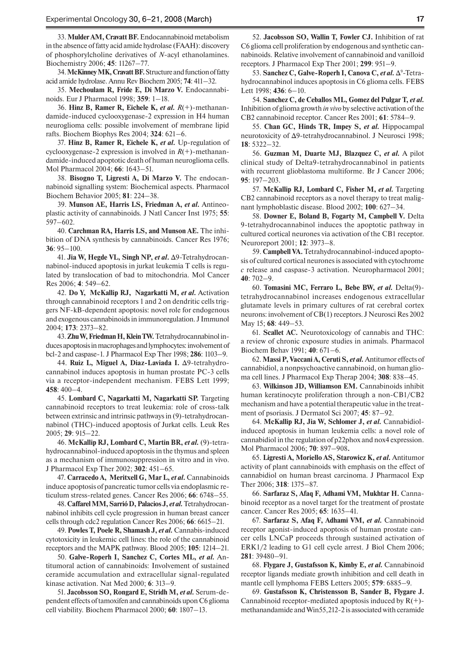33. **Mulder AM, Cravatt BF.** Endocannabinoid metabolism in the absence of fatty acid amide hydrolase (FAAH): discovery of phosphorylcholine derivatives of *N*-acyl ethanolamines. Biochemistry 2006; **45**: 11267–77.

34. **McKinney MK, Cravatt BF.** Structure and function of fatty acid amide hydrolase. Annu Rev Biochem 2005; **74**: 411–32.

35. **Mechoulam R, Fride E, Di Marzo V.** Endocannabinoids. Eur J Pharmacol 1998; **359**: 1–18.

36. **Hinz B, Ramer R, Eichele K,** *et al. R*(+)-methanandamide-induced cyclooxygenase-2 expression in H4 human neuroglioma cells: possible involvement of membrane lipid rafts. Biochem Biophys Res 2004; **324**: 621–6.

37. **Hinz B, Ramer R, Eichele K,** *et al.* Up-regulation of cyclooxygenase-2 expression is involved in *R*(+)-methanandamide-induced apoptotic death of human neuroglioma cells. Mol Pharmacol 2004; **66**: 1643–51.

38. **Bisogno T, Ligresti A, Di Marzo V.** The endocannabinoid signalling system: Biochemical aspects. Pharmacol Biochem Behavior 2005; **81**: 224–38.

39. **Munson AE, Harris LS, Friedman A,** *et al.* Antineoplastic activity of cannabinoids*.* J Natl Cancer Inst 1975; **55**: 597–602.

40. **Carchman RA, Harris LS, and Munson AE.** The inhibition of DNA synthesis by cannabinoids. Cancer Res 1976; **36**: 95–100.

41. **Jia W, Hegde VL, Singh NP,** *et al***.** Δ9-Tetrahydrocannabinol-induced apoptosis in jurkat leukemia T cells is regulated by translocation of bad to mitochondria. Mol Cancer Res 2006; **4**: 549–62.

42. **Do Y, McKallip RJ, Nagarkatti M,** *et al.* Activation through cannabinoid receptors 1 and 2 on dendritic cells triggers NF-kB-dependent apoptosis: novel role for endogenous and exogenous cannabinoids in immunoregulation. J Immunol 2004; **173**: 2373–82.

43. **Zhu W, Friedman H, Klein TW.** Tetrahydrocannabinol induces apoptosis in macrophages and lymphocytes: involvement of bcl-2 and caspase-1. J Pharmacol Exp Ther 1998; **286**: 1103–9.

44. **Ruiz L, Miguel A, Diaz-Laviada I.** Δ9-tetrahydrocannabinol induces apoptosis in human prostate PC-3 cells via a receptor-independent mechanism. FEBS Lett 1999; **458**: 400–4.

45. **Lombard C, Nagarkatti M, Nagarkatti SP.** Targeting cannabinoid receptors to treat leukemia: role of cross-talk between extrinsic and intrinsic pathways in (9)-tetrahydrocannabinol (THC)-induced apoptosis of Jurkat cells. Leuk Res 2005; **29**: 915–22.

46. **McKallip RJ, Lombard C, Martin BR,** *et al.* (9)-tetrahydrocannabinol-induced apoptosis in the thymus and spleen as a mechanism of immunosuppression in vitro and in vivo. J Pharmacol Exp Ther 2002; **302**: 451–65.

47. **Carracedo A, Meritxell G, Mar L,** *et al.* Cannabinoids induce apoptosis of pancreatic tumor cells via endoplasmic reticulum stress-related genes. Cancer Res 2006; **66**: 6748–55.

48. **Caffarel MM, Sarrió D, Palacios J,** *et al.*Tetrahydrocannabinol inhibits cell cycle progression in human breast cancer cells through cdc2 regulation Cancer Res 2006; **66**: 6615–21.

49. **Powles T, Poele R, Shamash J,** *et al.* Cannabis-induced cytotoxicity in leukemic cell lines: the role of the cannabinoid receptors and the MAPK pathway. Blood 2005; **105**: 1214–21.

50. **Galve-Roperh I, Sanchez C, Cortes ML,** *et al.* Antitumoral action of cannabinoids: Involvement of sustained ceramide accumulation and extracellular signal-regulated kinase activation. Nat Med 2000; **6**: 313–9.

51. **Jacobsson SO, Rongard E, Stridh M,** *et al.* Serum-dependent effects of tamoxifen and cannabinoids upon C6 glioma cell viability. Biochem Pharmacol 2000; **60**: 1807–13.

52. **Jacobsson SO, Wallin T, Fowler CJ.** Inhibition of rat C6 glioma cell proliferation by endogenous and synthetic cannabinoids. Relative involvement of cannabinoid and vanilloid receptors. J Pharmacol Exp Ther 2001; **299**: 951–9.

**53. Sanchez C, Galve-Roperh I, Canova C,** *et al.* **Δ<sup>9</sup>-Tetra**hydrocannabinol induces apoptosis in C6 glioma cells. FEBS Lett 1998; **436**: 6–10.

54. **Sanchez C, de Ceballos ML, Gomez del Pulgar T,** *et al.* Inhibition of glioma growth *in vivo* by selective activation of the CB2 cannabinoid receptor. Cancer Res 2001; **61**: 5784–9.

55. **Chan GC, Hinds TR, Impey S,** *et al.* Hippocampal neurotoxicity of Δ9-tetrahydrocannabinol. J Neurosci 1998; **18**: 5322–32.

56. **Guzman M, Duarte MJ, Blazquez C,** *et al.* A pilot clinical study of Delta9-tetrahydrocannabinol in patients with recurrent glioblastoma multiforme. Br J Cancer 2006; **95**: 197–203.

57. **McKallip RJ, Lombard C, Fisher M,** *et al.* Targeting CB2 cannabinoid receptors as a novel therapy to treat malignant lymphoblastic disease. Blood 2002; **100**: 627–34.

58. Downer E, Boland B, Fogarty M, Campbell V. Delta 9-tetrahydrocannabinol induces the apoptotic pathway in cultured cortical neurones via activation of the CB1 receptor. Neuroreport 2001; **12**: 3973–8.

59. **Campbell VA.** Tetrahydrocannabinol-induced apoptosis of cultured cortical neurones is associated with cytochrome *c* release and caspase-3 activation. Neuropharmacol 2001; **40**: 702–9.

60. **Tomasini MC, Ferraro L, Bebe BW,** *et al.* Delta(9) tetrahydrocannabinol increases endogenous extracellular glutamate levels in primary cultures of rat cerebral cortex neurons: involvement of CB(1) receptors. J Neurosci Res 2002 May 15; **68**: 449–53.

61. **Scallet AC.** Neurotoxicology of cannabis and THC: a review of chronic exposure studies in animals. Pharmacol Biochem Behav 1991; **40**: 671–6.

62. **Massi P, Vaccani A, Ceruti S,** *et al.*Antitumor effects of cannabidiol, a nonpsychoactive cannabinoid, on human glioma cell lines. J Pharmacol Exp Therap 2004; **308**: 838–45.

63. **Wilkinson JD, Williamson EM.** Cannabinoids inhibit human keratinocyte proliferation through a non-CB1/CB2 mechanism and have a potential therapeutic value in the treatment of psoriasis. J Dermatol Sci 2007; **45**: 87–92.

64. **McKallip RJ, Jia W, Schlomer J,** *et al.* Cannabidiolinduced apoptosis in human leukemia cells: a novel role of cannabidiol in the regulation of p22phox and nox4 expression. Mol Pharmacol 2006; **70**: 897–908**.**

65. **Ligresti A, Moriello AS, Starowicz K,** *et al.* Antitumor activity of plant cannabinoids with emphasis on the effect of cannabidiol on human breast carcinoma. J Pharmacol Exp Ther 2006; **318**: 1375–87.

66. **Sarfaraz S, Afaq F, Adhami VM, Mukhtar H.** Cannabinoid receptor as a novel target for the treatment of prostate cancer. Cancer Res 2005; **65**: 1635–41.

67. **Sarfaraz S, Afaq F, Adhami VM,** *et al.* Cannabinoid receptor agonist-induced apoptosis of human prostate cancer cells LNCaP proceeds through sustained activation of ERK1/2 leading to G1 cell cycle arrest. J Biol Chem 2006; **281**: 39480–91.

68. **Flygare J, Gustafsson K, Kimby E,** *et al.* Cannabinoid receptor ligands mediate growth inhibition and cell death in mantle cell lymphoma FEBS Letters 2005; **579**: 6885–9.

69. **Gustafsson K, Christensson B, Sander B, Flygare J.**  Cannabinoid receptor-mediated apoptosis induced by  $R(+)$ methanandamide and Win55,212-2 is associated with ceramide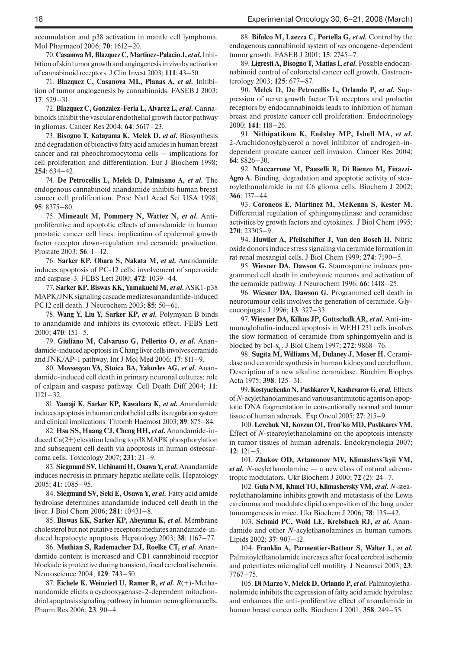accumulation and p38 activation in mantle cell lymphoma. Mol Pharmacol 2006; **70**: 1612–20.

70. Casanova M, Blazquez C, Martinez-Palacio J, et al. Inhibition of skin tumor growth and angiogenesis in vivo by activation of cannabinoid receptors. J Clin Invest 2003; **111**: 43–50.

71. **Blazquez C, Casanova ML, Planas A,** *et al.* Inhibition of tumor angiogenesis by cannabinoids. FASEB J 2003; **17**: 529–31.

72. **Blazquez C, Gonzalez-Feria L, Alvarez L,** *et al.* Cannabinoids inhibit the vascular endothelial growth factor pathway in gliomas. Cancer Res 2004; **64**: 5617–23.

73. **Bisogno T, Katayama K, Melck D,** *et al.* Biosynthesis and degradation of bioactive fatty acid amides in human breast cancer and rat pheochromocytoma cells — implications for cell proliferation and differentiation. Eur J Biochem 1998; **254**: 634–42.

74. **De Petrocellis L, Melck D, Palmisano A,** *et al.* The endogenous cannabinoid anandamide inhibits human breast cancer cell proliferation. Proc Natl Acad Sci USA 1998; **95**: 8375–80.

75. **Mimeault M, Pommery N, Wattez N,** *et al.* Antiproliferative and apoptotic effects of anandamide in human prostatic cancer cell lines: implication of epidermal growth factor receptor down-regulation and ceramide production. Prostate 2003; **56**: 1–12.

76. **Sarker KP, Obara S, Nakata M,** *et al.* Anandamide induces apoptosis of PC-12 cells: involvement of superoxide and caspase-3. FEBS Lett 2000; **472**: 1039–44.

77. **Sarker KP, Biswas KK, Yamakuchi M,** *et al.*ASK1-p38 MAPK/JNK signaling cascade mediates anandamide-induced PC12 cell death. J Neurochem 2003; **85**: 50–61.

78. **Wang Y, Liu Y, Sarker KP,** *et al.* Polymyxin B binds to anandamide and inhibits its cytotoxic effect. FEBS Lett 2000; **470**: 151–5.

79. **Giuliano M, Calvaruso G, Pellerito O,** *et al.* Anandamide-induced apoptosis in Chang liver cells involves ceramide and JNK/AP-1 pathway. Int J Mol Med 2006; **17**: 811–9.

80. **Movsesyan VA, Stoica BA, Yakovlev AG,** *et al.* Anandamide-induced cell death in primary neuronal cultures: role of calpain and caspase pathway. Cell Death Diff 2004; **11**: 1121–32.

81. **Yamaji K, Sarker KP, Kawahara K,** *et al.* Anandamide induces apoptosis in human endothelial cells: its regulation system and clinical implications. Thromb Haemost 2003; **89**: 875–84.

82. **Hsu SS, Huang CJ, Cheng HH,** *et al.*Anandamide-induced Ca(2+) elevation leading to p38 MAPK phosphorylation and subsequent cell death via apoptosis in human osteosarcoma cells. Toxicology 2007; **231**: 21–9.

83. **Siegmund SV, Uchinami H, Osawa Y,** *et al.*Anandamide induces necrosis in primary hepatic stellate cells. Hepatology 2005; **41**: 1085–95.

84. **Siegmund SV, Seki E, Osawa Y,** *et al.* Fatty acid amide hydrolase determines anandamide induced cell death in the liver. J Biol Chem 2006; **281**: 10431–8.

85. **Biswas KK, Sarker KP, Abeyama K,** *et al.* Membrane cholesterol but not putative receptors mediates anandamide-induced hepatocyte apoptosis. Hepatology 2003; **38**: 1167–77.

86. **Muthian S, Rademacher DJ, Roelke CT,** *et al.* Anandamide content is increased and CB1 cannabinoid receptor blockade is protective during transient, focal cerebral ischemia. Neuroscience 2004; **129**: 743–50.

87. **Eichele K. Weinzierl U, Ramer R,** *et al. R*(+)-Methanandamide elicits a cyclooxygenase-2-dependent mitochondrial apoptosis signaling pathway in human neuroglioma cells. Pharm Res 2006; **23**: 90–4.

88. **Bifulco M, Laezza C, Portella G,** *et al.* Control by the endogenous cannabinoid system of *ras* oncogene-dependent tumor growth. FASEB J 2001; **15**: 2745–7.

89. **Ligresti A, Bisogno T, Matias I,** *et al.* Possible endocannabinoid control of colorectal cancer cell growth. Gastroenterology 2003; **125**: 677–87.

90. **Melck D, De Petrocellis L, Orlando P,** *et al.* Suppression of nerve growth factor Trk receptors and prolactin receptors by endocannabinoids leads to inhibition of human breast and prostate cancer cell proliferation. Endocrinology 2000; **141**: 118–26.

91. **Nithipatikom K, Endsley MP, Isbell MA,** *et al.* 2-Arachidonoylglycerol a novel inhibitor of androgen-independent prostate cancer cell invasion. Cancer Res 2004; **64**: 8826–30.

92. **Maccarrone M, Pauselli R, Di Rienzo M, Finazzi-Agro A.** Binding, degradation and apoptotic activity of stearoylethanolamide in rat C6 glioma cells. Biochem J 2002; **366**: 137–44.

93. **Coroneos E, Martinez M, McKenna S, Kester M.**  Differential regulation of sphingomyelinase and ceramidase activities by growth factors and cytokines. J Biol Chem 1995; **270**: 23305–9.

94. **Huwiler A, Pfeilschifter J, Van den Bosch H.** Nitric oxide donors induce stress signaling via ceramide formation in rat renal mesangial cells. J Biol Chem 1999; **274**: 7190–5.

95. **Wiesner DA, Dawson G.** Staurosporine induces programmed cell death in embryonic neurons and activation of the ceramide pathway. J Neurochem 1996; **66**: 1418–25.

96. **Wiesner DA, Dawson G.** Programmed cell death in neurotumour cells involves the generation of ceramide. Glycoconjugate J 1996; **13**: 327–33.

97. **Wiesner DA, Kilkus JP, Gottschalk AR,** *et al.* Anti-immunoglobulin-induced apoptosis in WEHI 231 cells involves the slow formation of ceramide from sphingomyelin and is blocked by bcl-x<sub>1</sub>. J Biol Chem 1997; **272**: 9868–76.

98. **Sugita M, Williams M, Dulaney J, Moser H.** Ceramidase and ceramide synthesis in human kidney and cerebellum. Description of a new alkaline ceramidase. Biochim Biophys Acta 1975; **398**: 125–31.

99. Kostyuchenko N, Pushkarev V, Kashevarov G, et al. Effects of *N*-acylethanolamines and various antimitotic agents on apoptotic DNA fragmentation in conventionally normal and tumor tissue of human adrenals. Exp Oncol 2005; **27**: 215–9.

100. **Levchuk NI, Kovzun OI, Tron'ko MD, Pushkarev VM.**  Effect of *N*-stearoylethanolamine on the apoptosis intensity in tumor tissues of human adrenals. Endokrynologia 2007; **12**: 121–5.

101. **Zhukov OD, Artamonov MV, Klimashevs'kyii VM,**  *et al. N*-acylethanolamine — a new class of natural adrenotropic modulators. Ukr Biochem J 2000; **72** (2): 24–7.

102. **Gula NM, Khmel TO, Klimashevsky VM,** *et al. N*-stearoylethanolamine inhibits growth and metastasis of the Lewis carcinoma and modulates lipid composition of the lung under tumorogenesis in mice. Ukr Biochem J 2006; **78**: 135–42.

103. **Schmid PC, Wold LE, Krebsbach RJ,** *et al.* Anandamide and other *N-*acylethanolamines in human tumors. Lipids 2002; **37**: 907–12.

104. **Franklin A, Parmentier-Batteur S, Walter L,** *et al.* Palmitoylethanolamide increases after focal cerebral ischemia and potentiates microglial cell motility. J Neurosci 2003; **23**: 7767–75.

105. Di Marzo V, Melck D, Orlando P, et al. Palmitoylethanolamide inhibits the expression of fatty acid amide hydrolase and enhances the anti-proliferative effect of anandamide in human breast cancer cells. Biochem J 2001; **358**: 249–55.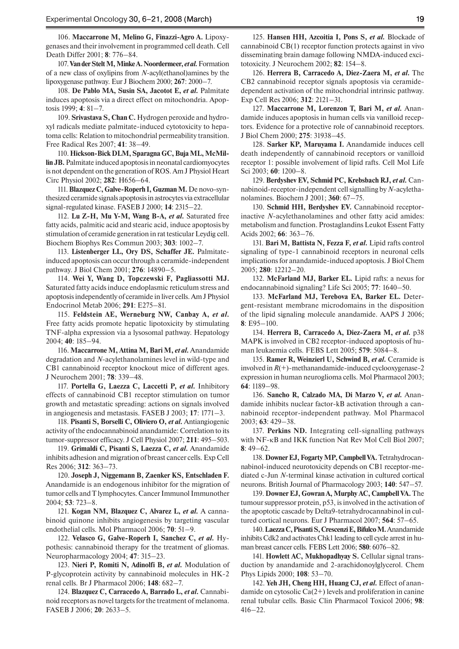106. **Maccarrone M, Melino G, Finazzi-Agro A.** Lipoxygenases and their involvement in programmed cell death. Cell Death Differ 2001; **8**: 776–84.

107. **Van der Stelt M, Minke A. Noordermeer,** *et al.* Formation of a new class of oxylipins from *N-*acyl(ethanol)amines by the lipoxygenase pathway. Eur J Biochem 2000; **267**: 2000–7.

108. **De Pablo MA, Susin SA, Jacotot E,** *et al.* Palmitate induces apoptosis via a direct effect on mitochondria. Apoptosis 1999; **4**: 81–7.

109. **Srivastava S, Chan C.** Hydrogen peroxide and hydroxyl radicals mediate palmitate-induced cytotoxicity to hepatoma cells: Relation to mitochondrial permeability transition. Free Radical Res 2007; **41**: 38–49.

110. **Hickson-Bick DLM, Sparagna GC, Buja ML, McMillin JB.** Palmitate induced apoptosis in neonatal cardiomyocytes is not dependent on the generation of ROS. Am J Physiol Heart Circ Physiol 2002; **282**: H656–64.

111. **Blazquez C, Galve-Roperh I, Guzman M.** De novo-synthesized ceramide signals apoptosis in astrocytes via extracellular signal-regulated kinase. FASEB J 2000; **14**: 2315–22.

112. **Lu Z-H, Mu Y-M, Wang B-A,** *et al.* Saturated free fatty acids, palmitic acid and stearic acid, induce apoptosis by stimulation of ceramide generation in rat testicular Leydig cell. Biochem Biophys Res Commun 2003; **303**: 1002–7.

113. **Listenberger LL, Ory DS, Schaffer JE.** Palmitateinduced apoptosis can occur through a ceramide-independent pathway. J Biol Chem 2001; **276**: 14890–5.

114. **Wei Y, Wang D, Topczewski F, Pagliassotti MJ.**  Saturated fatty acids induce endoplasmic reticulum stress and apoptosis independently of ceramide in liver cells. Am J Physiol Endocrinol Metab 2006; **291**: E275–81.

115. **Feldstein AE, Werneburg NW, Canbay A,** *et al.* Free fatty acids promote hepatic lipotoxicity by stimulating TNF-alpha expression via a lysosomal pathway. Hepatology 2004; **40**: 185–94.

116. **Maccarrone M, Attina M, Bari M,** *et al.*Anandamide degradation and *N*-acylethanolamines level in wild-type and CB1 cannabinoid receptor knockout mice of different ages. J Neurochem 2001; **78**: 339–48.

117. **Portella G, Laezza C, Laccetti P,** *et al.* Inhibitory effects of cannabinoid CB1 receptor stimulation on tumor growth and metastatic spreading: actions on signals involved in angiogenesis and metastasis. FASEB J 2003; **17**: 1771–3.

118. **Pisanti S, Borselli C, Oliviero O,** *et al.* Antiangiogenic activity of the endocannabinoid anandamide: Correlation to its tumor-suppressor efficacy. J Cell Physiol 2007; **211**: 495–503.

119. **Grimaldi C, Pisanti S, Laezza C,** *et al.* Anandamide inhibits adhesion and migration of breast cancer cells. Exp Cell Res 2006; **312**: 363–73.

120. **Joseph J, Niggemann B, Zaenker KS, Entschladen F.**  Anandamide is an endogenous inhibitor for the migration of tumor cells and T lymphocytes. Cancer Immunol Immunother 2004; **53**: 723–8.

121. **Kogan NM, Blazquez C, Alvarez L,** *et al.* A cannabinoid quinone inhibits angiogenesis by targeting vascular endothelial cells. Mol Pharmacol 2006; **70**: 51–9.

122. **Velasco G, Galve-Roperh I, Sanchez C,** *et al.* Hypothesis: cannabinoid therapy for the treatment of gliomas. Neuropharmacology 2004; **47**: 315–23.

123. **Nieri P, Romiti N, Adinolfi B,** *et al.* Modulation of P-glycoprotein activity by cannabinoid molecules in HK-2 renal cells. Br J Pharmacol 2006; **148**: 682–7.

124. **Blazquez C, Carracedo A, Barrado L,** *et al.* Cannabinoid receptors as novel targets for the treatment of melanoma. FASEB J 2006; **20**: 2633–5.

125. **Hansen HH, Azcoitia I, Pons S,** *et al.* Blockade of cannabinoid CB(1) receptor function protects against in vivo disseminating brain damage following NMDA-induced excitotoxicity. J Neurochem 2002; **82**: 154–8.

126. **Herrera B, Carracedo A, Diez-Zaera M,** *et al.* The CB2 cannabinoid receptor signals apoptosis via ceramidedependent activation of the mitochondrial intrinsic pathway. Exp Cell Res 2006; **312**: 2121–31.

127. **Maccarrone M, Lorenzon T, Bari M,** *et al.* Anandamide induces apoptosis in human cells via vanilloid receptors. Evidence for a protective role of cannabinoid receptors. J Biol Chem 2000; **275**: 31938–45.

128. **Sarker KP, Maruyama I.** Anandamide induces cell death independently of cannabinoid receptors or vanilloid receptor 1: possible involvement of lipid rafts. Cell Mol Life Sci 2003; **60**: 1200–8.

129. **Berdyshev EV, Schmid PC, Krebsbach RJ,** *et al.* Cannabinoid-receptor-independent cell signalling by *N*-acylethanolamines. Biochem J 2001; **360**: 67–75.

130. **Schmid HH, Berdyshev EV.** Cannabinoid receptorinactive *N*-acylethanolamines and other fatty acid amides: metabolism and function. Prostaglandins Leukot Essent Fatty Acids 2002; **66**: 363–76.

131. **Bari M, Battista N, Fezza F,** *et al.* Lipid rafts control signaling of type-1 cannabinoid receptors in neuronal cells implications for anandamide-induced apoptosis. J Biol Chem 2005; **280**: 12212–20.

132. **McFarland MJ, Barker EL.** Lipid rafts: a nexus for endocannabinoid signaling? Life Sci 2005; **77**: 1640–50.

133. **McFarland MJ, Terebova EA, Barker EL.** Detergent-resistant membrane microdomains in the disposition of the lipid signaling molecule anandamide. AAPS J 2006; **8**: E95–100.

134. **Herrera B, Carracedo A, Diez-Zaera M,** *et al.* p38 MAPK is involved in CB2 receptor-induced apoptosis of human leukaemia cells. FEBS Lett 2005; **579**: 5084–8.

135. **Ramer R, Weinzierl U, Schwind B,** *et al.* Ceramide is involved in *R*(+)-methanandamide-induced cyclooxygenase-2 expression in human neuroglioma cells. Mol Pharmacol 2003; **64**: 1189–98.

136. **Sancho R, Calzado MA, Di Marzo V,** *et al.* Anandamide inhibits nuclear factor-kB activation through a cannabinoid receptor-independent pathway. Mol Pharmacol 2003; **63**: 429–38.

137. **Perkins ND.** Integrating cell-signalling pathways with NF-κB and IKK function Nat Rev Mol Cell Biol 2007; **8**: 49–62.

138. **Downer EJ, Fogarty MP, Campbell VA.** Tetrahydrocannabinol-induced neurotoxicity depends on CB1 receptor-mediated c-Jun *N*-terminal kinase activation in cultured cortical neurons. British Journal of Pharmacology 2003; **140**: 547–57.

139. **Downer EJ, Gowran A, Murphy AC, Campbell VA.** The tumour suppressor protein, p53, is involved in the activation of the apoptotic cascade by Delta9-tetrahydrocannabinol in cultured cortical neurons. Eur J Pharmacol 2007; **564**: 57–65.

140. **Laezza C, Pisanti S, Crescenzi E, Bifulco M.** Anandamide inhibits Cdk2 and activates Chk1 leading to cell cycle arrest in human breast cancer cells. FEBS Lett 2006; **580**: 6076–82.

141. Howlett AC, Mukhopadhyay S. Cellular signal transduction by anandamide and 2-arachidonoylglycerol. Chem Phys Lipids 2000; **108**: 53–70.

142. **Yeh JH, Cheng HH, Huang CJ,** *et al.* Effect of anandamide on cytosolic  $Ca(2+)$  levels and proliferation in canine renal tubular cells. Basic Clin Pharmacol Toxicol 2006; **98**: 416–22.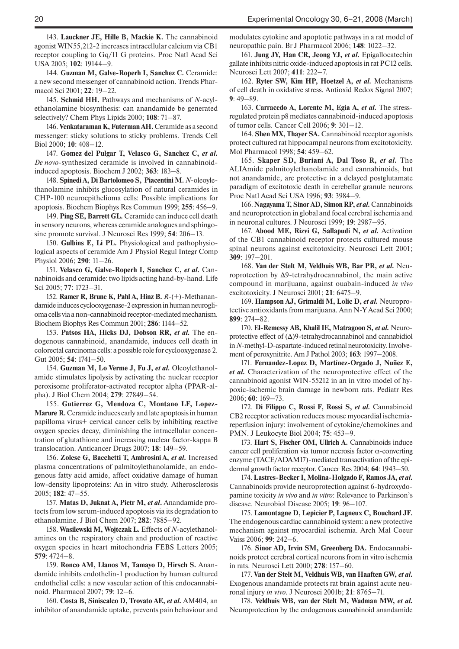143. **Lauckner JE, Hille B, Mackie K.** The cannabinoid agonist WIN55,212-2 increases intracellular calcium via CB1 receptor coupling to Gq/11 G proteins. Proc Natl Acad Sci USA 2005; **102**: 19144–9.

144. Guzman M, Galve-Roperh I, Sanchez C. Ceramide: a new second messenger of cannabinoid action. Trends Pharmacol Sci 2001; **22***:* 19–22.

145. **Schmid HH.** Pathways and mechanisms of *N*-acylethanolamine biosynthesis: can anandamide be generated selectively? Chem Phys Lipids 2000; **108**: 71–87.

146. **Venkataraman K, Futerman AH.** Ceramide as a second messenger: sticky solutions to sticky problems. Trends Cell Biol 2000; **10**: 408–12.

147. **Gomez del Pulgar T, Velasco G, Sanchez C,** *et al. De novo*-synthesized ceramide is involved in cannabinoidinduced apoptosis. Biochem J 2002; **363**: 183–8.

148. **Spinedi A, Di Bartolomeo S, Piacentini M.** *N*-oleoylethanolamine inhibits glucosylation of natural ceramides in CHP-100 neuroepithelioma cells: Possible implications for apoptosis. Biochem Biophys Res Commun 1999; **255**: 456–9.

149. **Ping SE, Barrett GL.** Ceramide can induce cell death in sensory neurons, whereas ceramide analogues and sphingosine promote survival. J Neurosci Res 1999; **54**: 206–13.

150. **Gulbins E, Li PL.** Physiological and pathophysiological aspects of ceramide Am J Physiol Regul Integr Comp Physiol 2006; **290**: 11–26.

151. **Velasco G, Galve-Roperh I, Sanchez C,** *et al.* Cannabinoids and ceramide: two lipids acting hand-by-hand. Life Sci 2005; **77**: 1723–31.

152. **Ramer R, Brune K, Pahl A, Hinz B.** *R*-(+)-Methanandamide induces cyclooxygenase-2 expression in human neuroglioma cells via a non-cannabinoid receptor-mediated mechanism. Biochem Biophys Res Commun 2001; **286**: 1144–52.

153. **Patsos HA, Hicks DJ, Dobson RR,** *et al.* The endogenous cannabinoid, anandamide, induces cell death in colorectal carcinoma cells: a possible role for cyclooxygenase 2. Gut 2005; **54**: 1741–50.

154. **Guzman M, Lo Verme J, Fu J,** *et al.* Oleoylethanolamide stimulates lipolysis by activating the nuclear receptor peroxisome proliferator-activated receptor alpha (PPAR-alpha). J Biol Chem 2004; **279**: 27849–54.

155. **Gutierrez G, Mendoza C, Montano LF, Lopez-Marure R.** Ceramide induces early and late apoptosis in human papilloma virus+ cervical cancer cells by inhibiting reactive oxygen species decay, diminishing the intracellular concentration of glutathione and increasing nuclear factor-kappa B translocation. Anticancer Drugs 2007; **18**: 149–59.

156. **Zolese G, Bacchetti T, Ambrosini A,** *et al.* Increased plasma concentrations of palmitoylethanolamide, an endogenous fatty acid amide, affect oxidative damage of human low-density lipoproteins: An in vitro study. Atherosclerosis 2005; **182**: 47–55.

157. **Matas D, Juknat A, Pietr M,** *et al***.** Anandamide protects from low serum-induced apoptosis via its degradation to ethanolamine. J Biol Chem 2007; **282**: 7885–92.

158. **Wasilewski M, Wojtczak L.** Effects of *N*-acylethanolamines on the respiratory chain and production of reactive oxygen species in heart mitochondria FEBS Letters 2005; **579**: 4724–8.

159. **Ronco AM, Llanos M, Tamayo D, Hirsch S.** Anandamide inhibits endothelin-1 production by human cultured endothelial cells: a new vascular action of this endocannabinoid. Pharmacol 2007; **79**: 12–6.

160. **Costa B, Siniscalco D, Trovato AE,** *et al.* AM404, an inhibitor of anandamide uptake, prevents pain behaviour and modulates cytokine and apoptotic pathways in a rat model of neuropathic pain. Br J Pharmacol 2006; **148**: 1022–32.

161. **Jung JY, Han CR, Jeong YJ,** *et al.* Epigallocatechin gallate inhibits nitric oxide-induced apoptosis in rat PC12 cells. Neurosci Lett 2007; **411**: 222–7.

162. **Ryter SW, Kim HP, Hoetzel A,** *et al.* Mechanisms of cell death in oxidative stress. Antioxid Redox Signal 2007; **9**: 49–89.

163. **Carracedo A, Lorente M, Egia A,** *et al.* The stressregulated protein p8 mediates cannabinoid-induced apoptosis of tumor cells. Cancer Cell 2006; **9**: 301–12.

164. **Shen MX, Thayer SA.** Cannabinoid receptor agonists protect cultured rat hippocampal neurons from excitotoxicity. Mol Pharmacol 1998; **54**: 459–62.

165. **Skaper SD, Buriani A, Dal Toso R,** *et al.* The ALIAmide palmitoylethanolamide and cannabinoids, but not anandamide, are protective in a delayed postglutamate paradigm of excitotoxic death in cerebellar granule neurons Proc Natl Acad Sci USA 1996; **93**: 3984–9.

166. **Nagayama T, Sinor AD, Simon RP,** *et al.* Cannabinoids and neuroprotection in global and focal cerebral ischemia and in neuronal cultures. J Neurosci 1999; **19**: 2987–95.

167. **Abood ME, Rizvi G, Sallapudi N,** *et al.* Activation of the CB1 cannabinoid receptor protects cultured mouse spinal neurons against excitotoxicity. Neurosci Lett 2001; **309**: 197–201.

168. **Van der Stelt M, Veldhuis WB, Bar PR,** *et al.* Neuroprotection by Δ9-tetrahydrocannabinol, the main active compound in marijuana, against ouabain-induced *in vivo*  excitotoxicity. J Neurosci 2001; **21**: 6475–9.

169. **Hampson AJ, Grimaldi M, Lolic D,** *et al.* Neuroprotective antioxidants from marijuana. Ann N-Y Acad Sci 2000; **899**: 274–82.

170. **El-Remessy AB, Khalil IE, Matragoon S,** *et al.* Neuroprotective effect of  $(\Delta)$ 9-tetrahydrocannabinol and cannabidiol in *N*-methyl-D-aspartate-induced retinal neurotoxicity. Involvement of peroxynitrite. Am J Pathol 2003; **163**: 1997–2008.

171. **Fernandez-Lopez D, Martínez-Orgado J, Nuñez E,**  *et al.* Characterization of the neuroprotective effect of the cannabinoid agonist WIN-55212 in an in vitro model of hypoxic-ischemic brain damage in newborn rats. Pediatr Res 2006; **60**: 169–73.

172. **Di Filippo C, Rossi F, Rossi S,** *et al.* Cannabinoid CB2 receptor activation reduces mouse myocardial ischemiareperfusion injury: involvement of cytokine/chemokines and PMN. J Leukocyte Biol 2004; **75**: 453–9.

173. **Hart S, Fischer OM, Ullrich A.** Cannabinoids induce cancer cell proliferation via tumor necrosis factor α-converting enzyme (TACE/ADAM17)-mediated transactivation of the epidermal growth factor receptor. Cancer Res 2004; **64**: 1943–50.

174. **Lastres-Becker I, Molina-Holgado F, Ramos JA,** *et al.*  Cannabinoids provide neuroprotection against 6-hydroxydopamine toxicity *in vivo* and *in vitro*: Relevance to Parkinson's disease. Neurobiol Disease 2005; **19**: 96–107.

175. **Lamontagne D, Lepicier P, Lagneux C, Bouchard JF.**  The endogenous cardiac cannabinoid system: a new protective mechanism against myocardial ischemia. Arch Mal Coeur Vaiss 2006; **99**: 242–6.

176. **Sinor AD, Irvin SM, Greenberg DA.** Endocannabinoids protect cerebral cortical neurons from in vitro ischemia in rats. Neurosci Lett 2000; **278**: 157–60.

177. **Van der Stelt M, Veldhuis WB, van Haaften GW,** *et al.* Exogenous anandamide protects rat brain against acute neuronal injury *in vivo*. J Neurosci 2001b; **21**: 8765–71.

178. **Veldhuis WB, van der Stelt M, Wadman MW,** *et al.* Neuroprotection by the endogenous cannabinoid anandamide